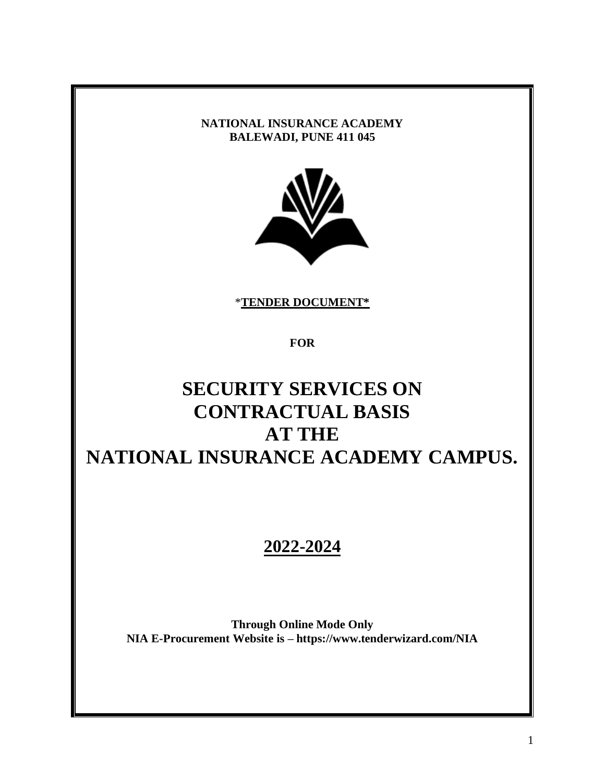#### **NATIONAL INSURANCE ACADEMY BALEWADI, PUNE 411 045**



\***TENDER DOCUMENT\***

**FOR**

# **SECURITY SERVICES ON CONTRACTUAL BASIS AT THE NATIONAL INSURANCE ACADEMY CAMPUS.**

## **2022-2024**

**Through Online Mode Only NIA E-Procurement Website is – https://www.tenderwizard.com/NIA**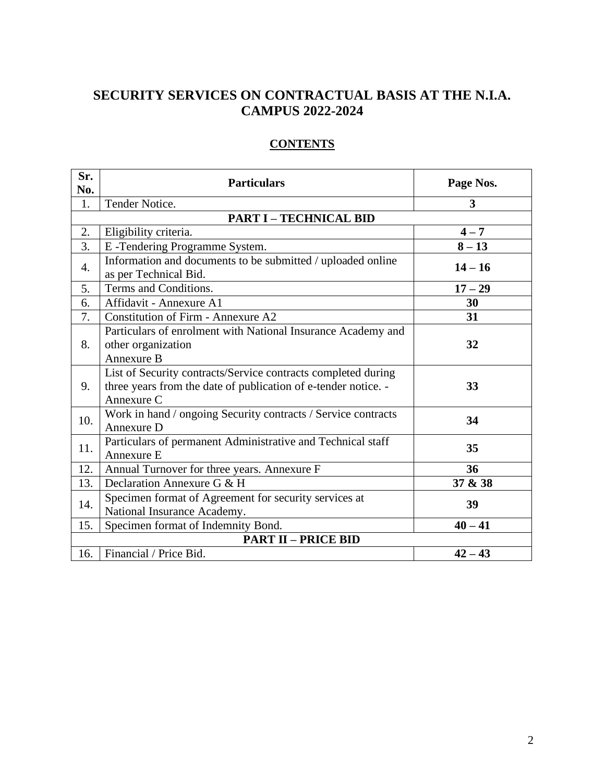## **SECURITY SERVICES ON CONTRACTUAL BASIS AT THE N.I.A. CAMPUS 2022-2024**

## **CONTENTS**

| Sr.<br>No.       | <b>Particulars</b>                                                                                                                            | Page Nos.      |  |  |  |
|------------------|-----------------------------------------------------------------------------------------------------------------------------------------------|----------------|--|--|--|
| 1.               | Tender Notice.                                                                                                                                | $\overline{3}$ |  |  |  |
|                  | <b>PART I - TECHNICAL BID</b>                                                                                                                 |                |  |  |  |
| 2.               | Eligibility criteria.                                                                                                                         | $4 - 7$        |  |  |  |
| 3.               | E-Tendering Programme System.                                                                                                                 | $8 - 13$       |  |  |  |
| $\overline{4}$ . | Information and documents to be submitted / uploaded online<br>as per Technical Bid.                                                          | $14 - 16$      |  |  |  |
| 5.               | Terms and Conditions.                                                                                                                         | $17 - 29$      |  |  |  |
| 6.               | Affidavit - Annexure A1                                                                                                                       | 30             |  |  |  |
| 7.               | <b>Constitution of Firm - Annexure A2</b>                                                                                                     | 31             |  |  |  |
| 8.               | Particulars of enrolment with National Insurance Academy and<br>other organization<br>Annexure B                                              | 32             |  |  |  |
| 9.               | List of Security contracts/Service contracts completed during<br>three years from the date of publication of e-tender notice. -<br>Annexure C | 33             |  |  |  |
| 10.              | Work in hand / ongoing Security contracts / Service contracts<br>Annexure D                                                                   | 34             |  |  |  |
| 11.              | Particulars of permanent Administrative and Technical staff<br>Annexure E                                                                     | 35             |  |  |  |
| 12.              | Annual Turnover for three years. Annexure F                                                                                                   | 36             |  |  |  |
| 13.              | Declaration Annexure G & H                                                                                                                    | 37 & 38        |  |  |  |
| 14.              | Specimen format of Agreement for security services at<br>National Insurance Academy.                                                          | 39             |  |  |  |
| 15.              | Specimen format of Indemnity Bond.                                                                                                            | $40 - 41$      |  |  |  |
|                  | <b>PART II - PRICE BID</b>                                                                                                                    |                |  |  |  |
| 16.              | Financial / Price Bid.                                                                                                                        | $42 - 43$      |  |  |  |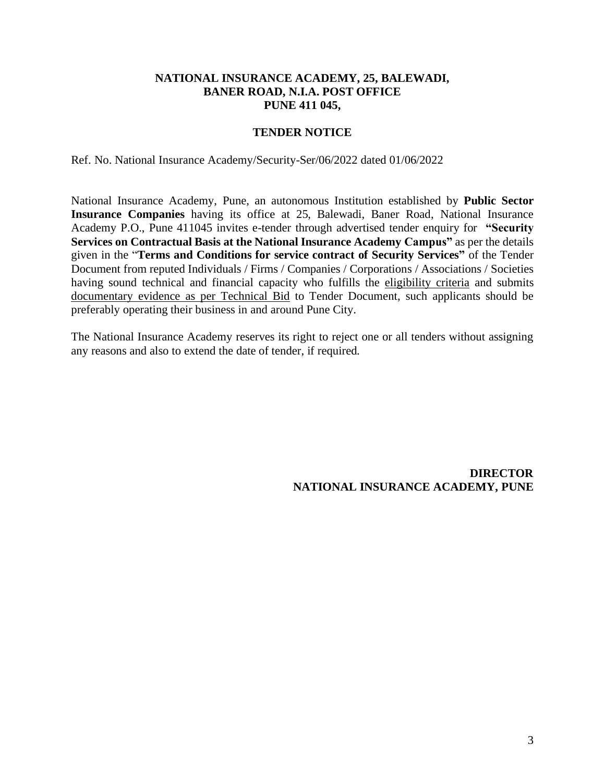#### **NATIONAL INSURANCE ACADEMY, 25, BALEWADI, BANER ROAD, N.I.A. POST OFFICE PUNE 411 045,**

#### **TENDER NOTICE**

Ref. No. National Insurance Academy/Security-Ser/06/2022 dated 01/06/2022

National Insurance Academy, Pune, an autonomous Institution established by **Public Sector Insurance Companies** having its office at 25, Balewadi, Baner Road, National Insurance Academy P.O., Pune 411045 invites e-tender through advertised tender enquiry for **"Security Services on Contractual Basis at the National Insurance Academy Campus"** as per the details given in the "**Terms and Conditions for service contract of Security Services"** of the Tender Document from reputed Individuals / Firms / Companies / Corporations / Associations / Societies having sound technical and financial capacity who fulfills the eligibility criteria and submits documentary evidence as per Technical Bid to Tender Document, such applicants should be preferably operating their business in and around Pune City.

The National Insurance Academy reserves its right to reject one or all tenders without assigning any reasons and also to extend the date of tender, if required.

> **DIRECTOR NATIONAL INSURANCE ACADEMY, PUNE**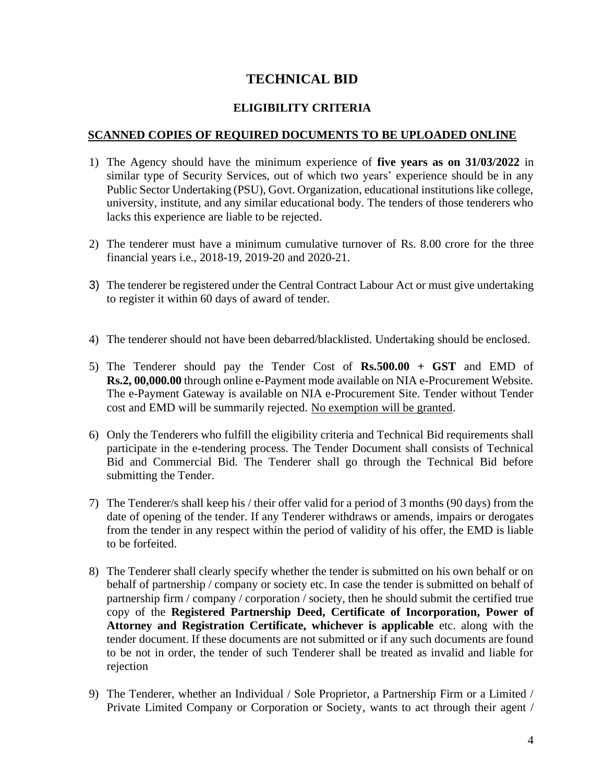## **TECHNICAL BID**

#### **ELIGIBILITY CRITERIA**

#### **SCANNED COPIES OF REQUIRED DOCUMENTS TO BE UPLOADED ONLINE**

- 1) The Agency should have the minimum experience of **five years as on 31/03/2022** in similar type of Security Services, out of which two years' experience should be in any Public Sector Undertaking (PSU), Govt. Organization, educational institutions like college, university, institute, and any similar educational body. The tenders of those tenderers who lacks this experience are liable to be rejected.
- 2) The tenderer must have a minimum cumulative turnover of Rs. 8.00 crore for the three financial years i.e., 2018-19, 2019-20 and 2020-21.
- 3) The tenderer be registered under the Central Contract Labour Act or must give undertaking to register it within 60 days of award of tender.
- 4) The tenderer should not have been debarred/blacklisted. Undertaking should be enclosed.
- 5) The Tenderer should pay the Tender Cost of **Rs.500.00 + GST** and EMD of **Rs.2, 00,000.00** through online e-Payment mode available on NIA e-Procurement Website. The e-Payment Gateway is available on NIA e-Procurement Site. Tender without Tender cost and EMD will be summarily rejected. No exemption will be granted.
- 6) Only the Tenderers who fulfill the eligibility criteria and Technical Bid requirements shall participate in the e-tendering process. The Tender Document shall consists of Technical Bid and Commercial Bid. The Tenderer shall go through the Technical Bid before submitting the Tender.
- 7) The Tenderer/s shall keep his / their offer valid for a period of 3 months (90 days) from the date of opening of the tender. If any Tenderer withdraws or amends, impairs or derogates from the tender in any respect within the period of validity of his offer, the EMD is liable to be forfeited.
- 8) The Tenderer shall clearly specify whether the tender is submitted on his own behalf or on behalf of partnership / company or society etc. In case the tender is submitted on behalf of partnership firm / company / corporation / society, then he should submit the certified true copy of the **Registered Partnership Deed, Certificate of Incorporation, Power of Attorney and Registration Certificate, whichever is applicable** etc. along with the tender document. If these documents are not submitted or if any such documents are found to be not in order, the tender of such Tenderer shall be treated as invalid and liable for rejection
- 9) The Tenderer, whether an Individual / Sole Proprietor, a Partnership Firm or a Limited / Private Limited Company or Corporation or Society, wants to act through their agent /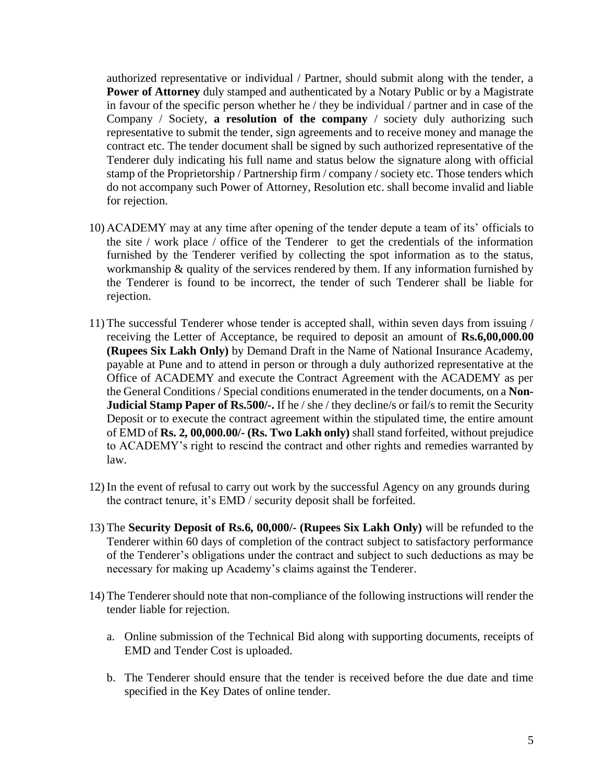authorized representative or individual / Partner, should submit along with the tender, a **Power of Attorney** duly stamped and authenticated by a Notary Public or by a Magistrate in favour of the specific person whether he / they be individual / partner and in case of the Company / Society, **a resolution of the company** / society duly authorizing such representative to submit the tender, sign agreements and to receive money and manage the contract etc. The tender document shall be signed by such authorized representative of the Tenderer duly indicating his full name and status below the signature along with official stamp of the Proprietorship / Partnership firm / company / society etc. Those tenders which do not accompany such Power of Attorney, Resolution etc. shall become invalid and liable for rejection.

- 10) ACADEMY may at any time after opening of the tender depute a team of its' officials to the site / work place / office of the Tenderer to get the credentials of the information furnished by the Tenderer verified by collecting the spot information as to the status, workmanship & quality of the services rendered by them. If any information furnished by the Tenderer is found to be incorrect, the tender of such Tenderer shall be liable for rejection.
- 11) The successful Tenderer whose tender is accepted shall, within seven days from issuing / receiving the Letter of Acceptance, be required to deposit an amount of **Rs.6,00,000.00 (Rupees Six Lakh Only)** by Demand Draft in the Name of National Insurance Academy, payable at Pune and to attend in person or through a duly authorized representative at the Office of ACADEMY and execute the Contract Agreement with the ACADEMY as per the General Conditions / Special conditions enumerated in the tender documents, on a **Non-Judicial Stamp Paper of Rs.500/-.** If he / she / they decline/s or fail/s to remit the Security Deposit or to execute the contract agreement within the stipulated time, the entire amount of EMD of **Rs. 2, 00,000.00/- (Rs. Two Lakh only)** shall stand forfeited, without prejudice to ACADEMY's right to rescind the contract and other rights and remedies warranted by law.
- 12) In the event of refusal to carry out work by the successful Agency on any grounds during the contract tenure, it's EMD / security deposit shall be forfeited.
- 13) The **Security Deposit of Rs.6, 00,000/- (Rupees Six Lakh Only)** will be refunded to the Tenderer within 60 days of completion of the contract subject to satisfactory performance of the Tenderer's obligations under the contract and subject to such deductions as may be necessary for making up Academy's claims against the Tenderer.
- 14) The Tenderer should note that non-compliance of the following instructions will render the tender liable for rejection.
	- a. Online submission of the Technical Bid along with supporting documents, receipts of EMD and Tender Cost is uploaded.
	- b. The Tenderer should ensure that the tender is received before the due date and time specified in the Key Dates of online tender.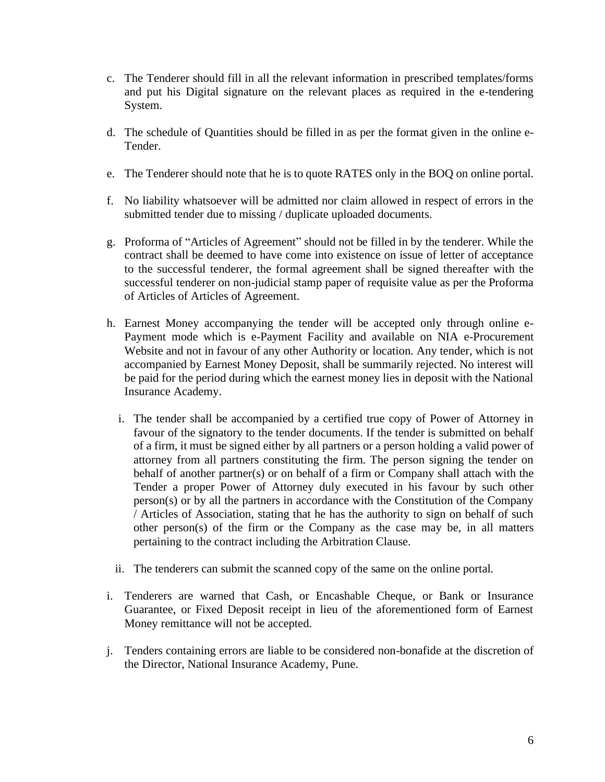- c. The Tenderer should fill in all the relevant information in prescribed templates/forms and put his Digital signature on the relevant places as required in the e-tendering System.
- d. The schedule of Quantities should be filled in as per the format given in the online e-Tender.
- e. The Tenderer should note that he is to quote RATES only in the BOQ on online portal.
- f. No liability whatsoever will be admitted nor claim allowed in respect of errors in the submitted tender due to missing / duplicate uploaded documents.
- g. Proforma of "Articles of Agreement" should not be filled in by the tenderer. While the contract shall be deemed to have come into existence on issue of letter of acceptance to the successful tenderer, the formal agreement shall be signed thereafter with the successful tenderer on non-judicial stamp paper of requisite value as per the Proforma of Articles of Articles of Agreement.
- h. Earnest Money accompanying the tender will be accepted only through online e-Payment mode which is e-Payment Facility and available on NIA e-Procurement Website and not in favour of any other Authority or location. Any tender, which is not accompanied by Earnest Money Deposit, shall be summarily rejected. No interest will be paid for the period during which the earnest money lies in deposit with the National Insurance Academy.
	- i. The tender shall be accompanied by a certified true copy of Power of Attorney in favour of the signatory to the tender documents. If the tender is submitted on behalf of a firm, it must be signed either by all partners or a person holding a valid power of attorney from all partners constituting the firm. The person signing the tender on behalf of another partner(s) or on behalf of a firm or Company shall attach with the Tender a proper Power of Attorney duly executed in his favour by such other person(s) or by all the partners in accordance with the Constitution of the Company / Articles of Association, stating that he has the authority to sign on behalf of such other person(s) of the firm or the Company as the case may be, in all matters pertaining to the contract including the Arbitration Clause.
	- ii. The tenderers can submit the scanned copy of the same on the online portal.
- i. Tenderers are warned that Cash, or Encashable Cheque, or Bank or Insurance Guarantee, or Fixed Deposit receipt in lieu of the aforementioned form of Earnest Money remittance will not be accepted.
- j. Tenders containing errors are liable to be considered non-bonafide at the discretion of the Director, National Insurance Academy, Pune.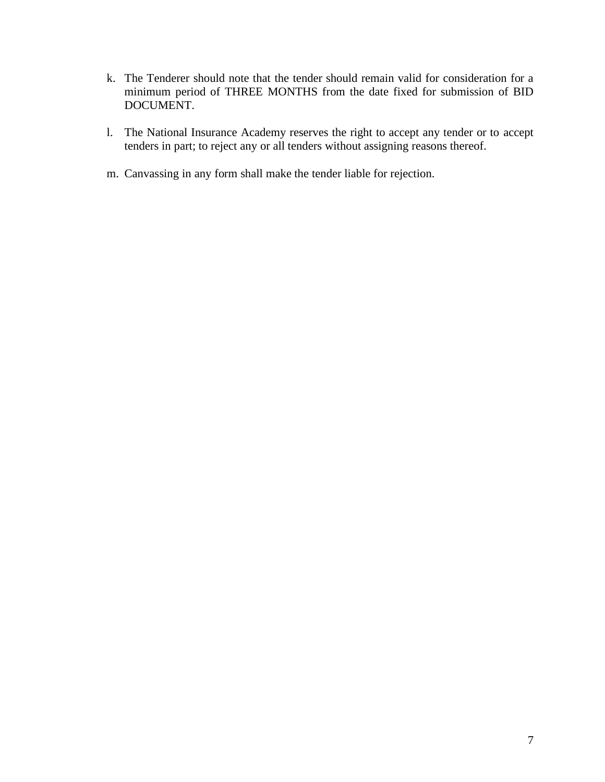- k. The Tenderer should note that the tender should remain valid for consideration for a minimum period of THREE MONTHS from the date fixed for submission of BID DOCUMENT.
- l. The National Insurance Academy reserves the right to accept any tender or to accept tenders in part; to reject any or all tenders without assigning reasons thereof.
- m. Canvassing in any form shall make the tender liable for rejection.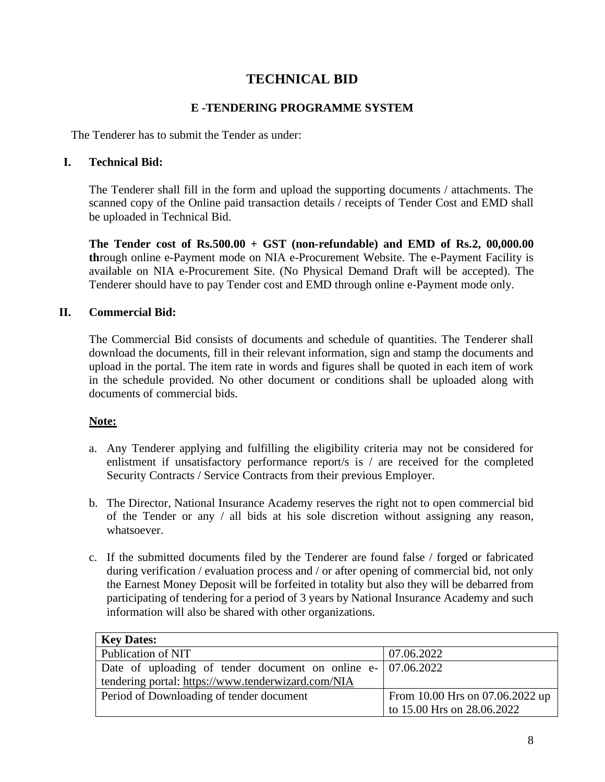## **TECHNICAL BID**

### **E -TENDERING PROGRAMME SYSTEM**

The Tenderer has to submit the Tender as under:

#### **I. Technical Bid:**

The Tenderer shall fill in the form and upload the supporting documents / attachments. The scanned copy of the Online paid transaction details / receipts of Tender Cost and EMD shall be uploaded in Technical Bid.

**The Tender cost of Rs.500.00 + GST (non-refundable) and EMD of Rs.2, 00,000.00 th**rough online e-Payment mode on NIA e-Procurement Website. The e-Payment Facility is available on NIA e-Procurement Site. (No Physical Demand Draft will be accepted). The Tenderer should have to pay Tender cost and EMD through online e-Payment mode only.

#### **II. Commercial Bid:**

The Commercial Bid consists of documents and schedule of quantities. The Tenderer shall download the documents, fill in their relevant information, sign and stamp the documents and upload in the portal. The item rate in words and figures shall be quoted in each item of work in the schedule provided. No other document or conditions shall be uploaded along with documents of commercial bids.

## **Note:**

- a. Any Tenderer applying and fulfilling the eligibility criteria may not be considered for enlistment if unsatisfactory performance report/s is / are received for the completed Security Contracts / Service Contracts from their previous Employer.
- b. The Director, National Insurance Academy reserves the right not to open commercial bid of the Tender or any / all bids at his sole discretion without assigning any reason, whatsoever.
- c. If the submitted documents filed by the Tenderer are found false / forged or fabricated during verification / evaluation process and / or after opening of commercial bid, not only the Earnest Money Deposit will be forfeited in totality but also they will be debarred from participating of tendering for a period of 3 years by National Insurance Academy and such information will also be shared with other organizations.

| <b>Key Dates:</b>                                               |                                 |
|-----------------------------------------------------------------|---------------------------------|
| Publication of NIT                                              | 07.06.2022                      |
| Date of uploading of tender document on online $e - 07.06.2022$ |                                 |
| tendering portal: https://www.tenderwizard.com/NIA              |                                 |
| Period of Downloading of tender document                        | From 10.00 Hrs on 07.06.2022 up |
|                                                                 | to 15.00 Hrs on 28.06.2022      |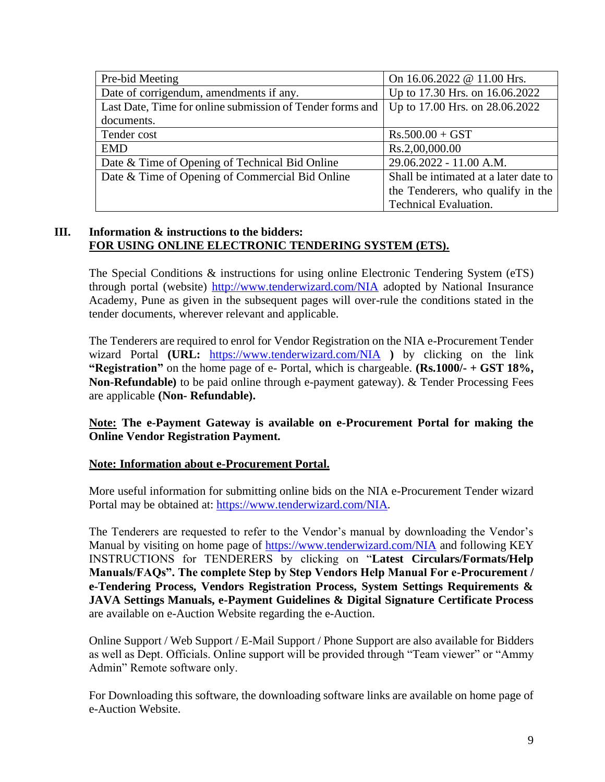| Pre-bid Meeting                                           | On 16.06.2022 @ 11.00 Hrs.            |
|-----------------------------------------------------------|---------------------------------------|
| Date of corrigendum, amendments if any.                   | Up to 17.30 Hrs. on 16.06.2022        |
| Last Date, Time for online submission of Tender forms and | Up to 17.00 Hrs. on 28.06.2022        |
| documents.                                                |                                       |
| Tender cost                                               | $Rs.500.00 + GST$                     |
| <b>EMD</b>                                                | Rs.2,00,000.00                        |
| Date & Time of Opening of Technical Bid Online            | 29.06.2022 - 11.00 A.M.               |
| Date & Time of Opening of Commercial Bid Online           | Shall be intimated at a later date to |
|                                                           | the Tenderers, who qualify in the     |
|                                                           | <b>Technical Evaluation.</b>          |

#### **III. Information & instructions to the bidders: FOR USING ONLINE ELECTRONIC TENDERING SYSTEM (ETS).**

The Special Conditions & instructions for using online Electronic Tendering System (eTS) through portal (website)<http://www.tenderwizard.com/NIA> adopted by National Insurance Academy, Pune as given in the subsequent pages will over-rule the conditions stated in the tender documents, wherever relevant and applicable.

The Tenderers are required to enrol for Vendor Registration on the NIA e-Procurement Tender wizard Portal **(URL:** <https://www.tenderwizard.com/NIA> **)** by clicking on the link **"Registration"** on the home page of e- Portal, which is chargeable. **(Rs.1000/- + GST 18%, Non-Refundable)** to be paid online through e-payment gateway). & Tender Processing Fees are applicable **(Non- Refundable).**

**Note: The e-Payment Gateway is available on e-Procurement Portal for making the Online Vendor Registration Payment.**

#### **Note: Information about e-Procurement Portal.**

More useful information for submitting online bids on the NIA e-Procurement Tender wizard Portal may be obtained at: [https://www.tenderwizard.com/NIA.](https://www.tenderwizard.com/NIA)

The Tenderers are requested to refer to the Vendor's manual by downloading the Vendor's Manual by visiting on home page of<https://www.tenderwizard.com/NIA> and following KEY INSTRUCTIONS for TENDERERS by clicking on "**Latest Circulars/Formats/Help Manuals/FAQs". The complete Step by Step Vendors Help Manual For e-Procurement / e-Tendering Process, Vendors Registration Process, System Settings Requirements & JAVA Settings Manuals, e-Payment Guidelines & Digital Signature Certificate Process**  are available on e-Auction Website regarding the e-Auction.

Online Support / Web Support / E-Mail Support / Phone Support are also available for Bidders as well as Dept. Officials. Online support will be provided through "Team viewer" or "Ammy Admin" Remote software only.

For Downloading this software, the downloading software links are available on home page of e-Auction Website.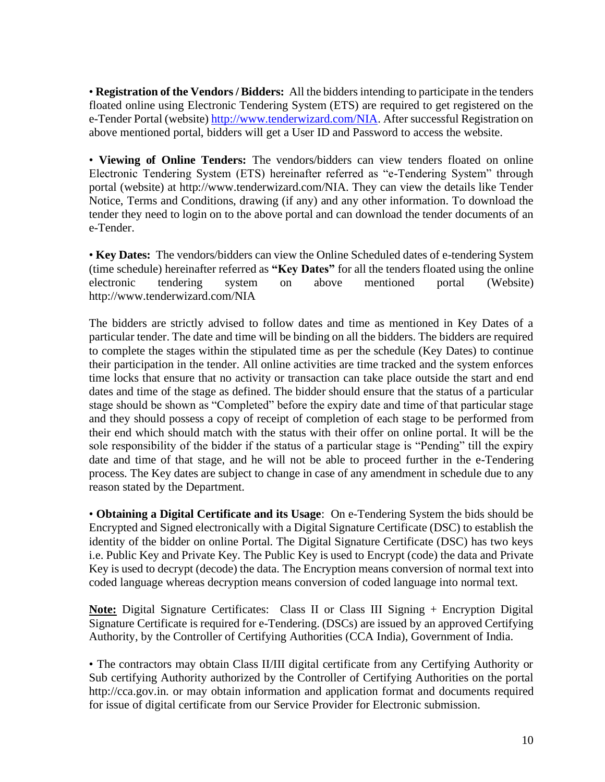• **Registration of the Vendors / Bidders:** All the bidders intending to participate in the tenders floated online using Electronic Tendering System (ETS) are required to get registered on the e-Tender Portal (website[\) http://www.tenderwizard.com/NIA.](http://www.tenderwizard.com/NIA) After successful Registration on above mentioned portal, bidders will get a User ID and Password to access the website.

• **Viewing of Online Tenders:** The vendors/bidders can view tenders floated on online Electronic Tendering System (ETS) hereinafter referred as "e-Tendering System" through portal (website) at http://www.tenderwizard.com/NIA. They can view the details like Tender Notice, Terms and Conditions, drawing (if any) and any other information. To download the tender they need to login on to the above portal and can download the tender documents of an e-Tender.

• **Key Dates:** The vendors/bidders can view the Online Scheduled dates of e-tendering System (time schedule) hereinafter referred as **"Key Dates"** for all the tenders floated using the online electronic tendering system on above mentioned portal (Website) http://www.tenderwizard.com/NIA

The bidders are strictly advised to follow dates and time as mentioned in Key Dates of a particular tender. The date and time will be binding on all the bidders. The bidders are required to complete the stages within the stipulated time as per the schedule (Key Dates) to continue their participation in the tender. All online activities are time tracked and the system enforces time locks that ensure that no activity or transaction can take place outside the start and end dates and time of the stage as defined. The bidder should ensure that the status of a particular stage should be shown as "Completed" before the expiry date and time of that particular stage and they should possess a copy of receipt of completion of each stage to be performed from their end which should match with the status with their offer on online portal. It will be the sole responsibility of the bidder if the status of a particular stage is "Pending" till the expiry date and time of that stage, and he will not be able to proceed further in the e-Tendering process. The Key dates are subject to change in case of any amendment in schedule due to any reason stated by the Department.

• **Obtaining a Digital Certificate and its Usage**: On e-Tendering System the bids should be Encrypted and Signed electronically with a Digital Signature Certificate (DSC) to establish the identity of the bidder on online Portal. The Digital Signature Certificate (DSC) has two keys i.e. Public Key and Private Key. The Public Key is used to Encrypt (code) the data and Private Key is used to decrypt (decode) the data. The Encryption means conversion of normal text into coded language whereas decryption means conversion of coded language into normal text.

**Note:** Digital Signature Certificates: Class II or Class III Signing + Encryption Digital Signature Certificate is required for e-Tendering. (DSCs) are issued by an approved Certifying Authority, by the Controller of Certifying Authorities (CCA India), Government of India.

• The contractors may obtain Class II/III digital certificate from any Certifying Authority or Sub certifying Authority authorized by the Controller of Certifying Authorities on the portal http://cca.gov.in. or may obtain information and application format and documents required for issue of digital certificate from our Service Provider for Electronic submission.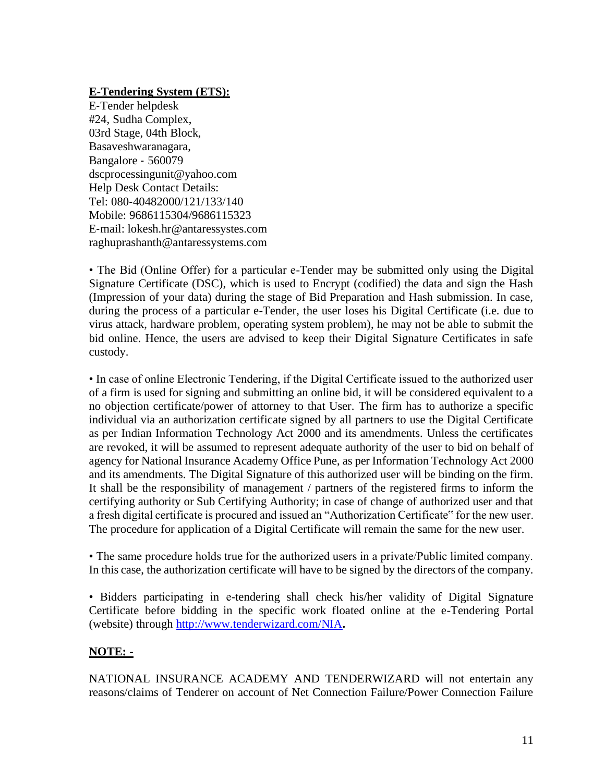#### **E-Tendering System (ETS):**

E‐Tender helpdesk #24, Sudha Complex, 03rd Stage, 04th Block, Basaveshwaranagara, Bangalore ‐ 560079 dscprocessingunit@yahoo.com Help Desk Contact Details: Tel: 080‐40482000/121/133/140 Mobile: 9686115304/9686115323 E‐mail: lokesh.hr@antaressystes.com raghuprashanth@antaressystems.com

• The Bid (Online Offer) for a particular e-Tender may be submitted only using the Digital Signature Certificate (DSC), which is used to Encrypt (codified) the data and sign the Hash (Impression of your data) during the stage of Bid Preparation and Hash submission. In case, during the process of a particular e-Tender, the user loses his Digital Certificate (i.e. due to virus attack, hardware problem, operating system problem), he may not be able to submit the bid online. Hence, the users are advised to keep their Digital Signature Certificates in safe custody.

• In case of online Electronic Tendering, if the Digital Certificate issued to the authorized user of a firm is used for signing and submitting an online bid, it will be considered equivalent to a no objection certificate/power of attorney to that User. The firm has to authorize a specific individual via an authorization certificate signed by all partners to use the Digital Certificate as per Indian Information Technology Act 2000 and its amendments. Unless the certificates are revoked, it will be assumed to represent adequate authority of the user to bid on behalf of agency for National Insurance Academy Office Pune, as per Information Technology Act 2000 and its amendments. The Digital Signature of this authorized user will be binding on the firm. It shall be the responsibility of management / partners of the registered firms to inform the certifying authority or Sub Certifying Authority; in case of change of authorized user and that a fresh digital certificate is procured and issued an "Authorization Certificate" for the new user. The procedure for application of a Digital Certificate will remain the same for the new user.

• The same procedure holds true for the authorized users in a private/Public limited company. In this case, the authorization certificate will have to be signed by the directors of the company.

• Bidders participating in e-tendering shall check his/her validity of Digital Signature Certificate before bidding in the specific work floated online at the e-Tendering Portal (website) through<http://www.tenderwizard.com/NIA>**.**

## **NOTE: -**

NATIONAL INSURANCE ACADEMY AND TENDERWIZARD will not entertain any reasons/claims of Tenderer on account of Net Connection Failure/Power Connection Failure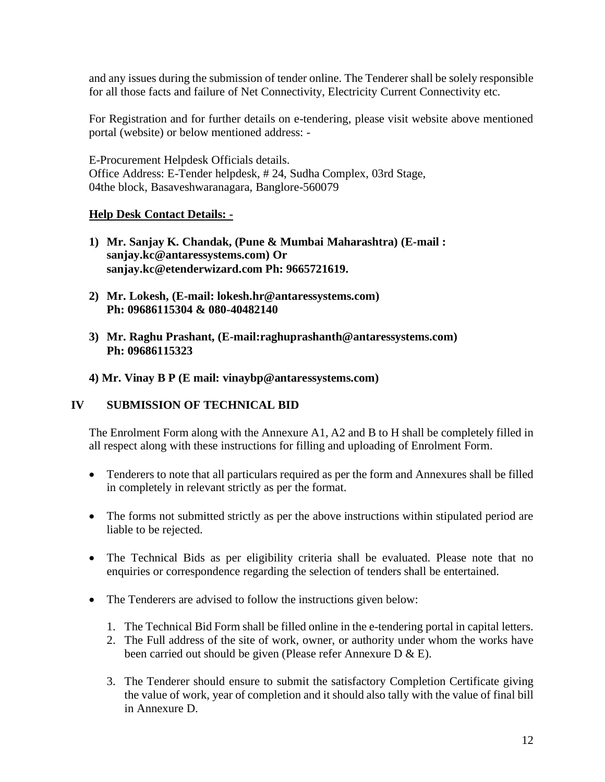and any issues during the submission of tender online. The Tenderer shall be solely responsible for all those facts and failure of Net Connectivity, Electricity Current Connectivity etc.

For Registration and for further details on e-tendering, please visit website above mentioned portal (website) or below mentioned address: -

E-Procurement Helpdesk Officials details. Office Address: E-Tender helpdesk, # 24, Sudha Complex, 03rd Stage, 04the block, Basaveshwaranagara, Banglore-560079

#### **Help Desk Contact Details: -**

- **1) Mr. Sanjay K. Chandak, (Pune & Mumbai Maharashtra) (E-mail : sanjay.kc@antaressystems.com) Or sanjay.kc@etenderwizard.com Ph: 9665721619.**
- **2) Mr. Lokesh, (E-mail: lokesh.hr@antaressystems.com) Ph: 09686115304 & 080-40482140**
- **3) Mr. Raghu Prashant, (E-mail:raghuprashanth@antaressystems.com) Ph: 09686115323**
- **4) Mr. Vinay B P (E mail: vinaybp@antaressystems.com)**

#### **IV SUBMISSION OF TECHNICAL BID**

The Enrolment Form along with the Annexure A1, A2 and B to H shall be completely filled in all respect along with these instructions for filling and uploading of Enrolment Form.

- Tenderers to note that all particulars required as per the form and Annexures shall be filled in completely in relevant strictly as per the format.
- The forms not submitted strictly as per the above instructions within stipulated period are liable to be rejected.
- The Technical Bids as per eligibility criteria shall be evaluated. Please note that no enquiries or correspondence regarding the selection of tenders shall be entertained.
- The Tenderers are advised to follow the instructions given below:
	- 1. The Technical Bid Form shall be filled online in the e-tendering portal in capital letters.
	- 2. The Full address of the site of work, owner, or authority under whom the works have been carried out should be given (Please refer Annexure D & E).
	- 3. The Tenderer should ensure to submit the satisfactory Completion Certificate giving the value of work, year of completion and it should also tally with the value of final bill in Annexure D.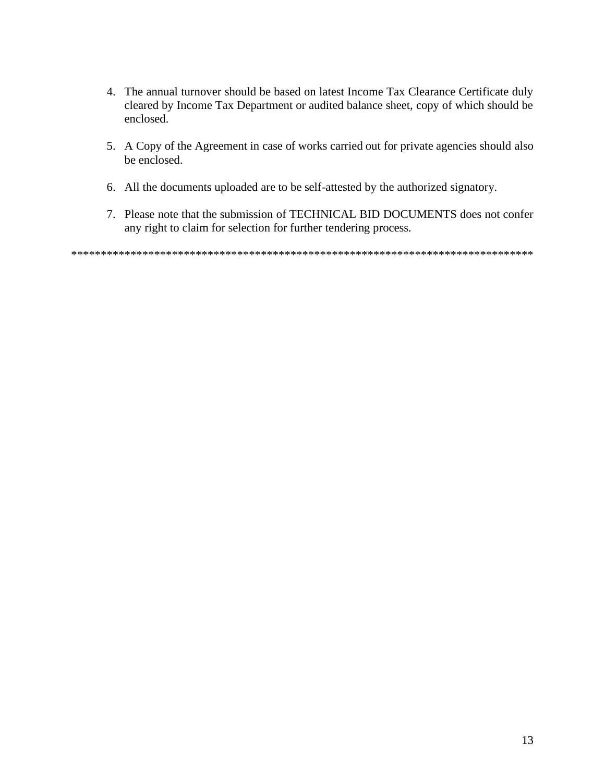- 4. The annual turnover should be based on latest Income Tax Clearance Certificate duly cleared by Income Tax Department or audited balance sheet, copy of which should be enclosed.
- 5. A Copy of the Agreement in case of works carried out for private agencies should also be enclosed.
- 6. All the documents uploaded are to be self-attested by the authorized signatory.
- 7. Please note that the submission of TECHNICAL BID DOCUMENTS does not confer any right to claim for selection for further tendering process.

\*\*\*\*\*\*\*\*\*\*\*\*\*\*\*\*\*\*\*\*\*\*\*\*\*\*\*\*\*\*\*\*\*\*\*\*\*\*\*\*\*\*\*\*\*\*\*\*\*\*\*\*\*\*\*\*\*\*\*\*\*\*\*\*\*\*\*\*\*\*\*\*\*\*\*\*\*\*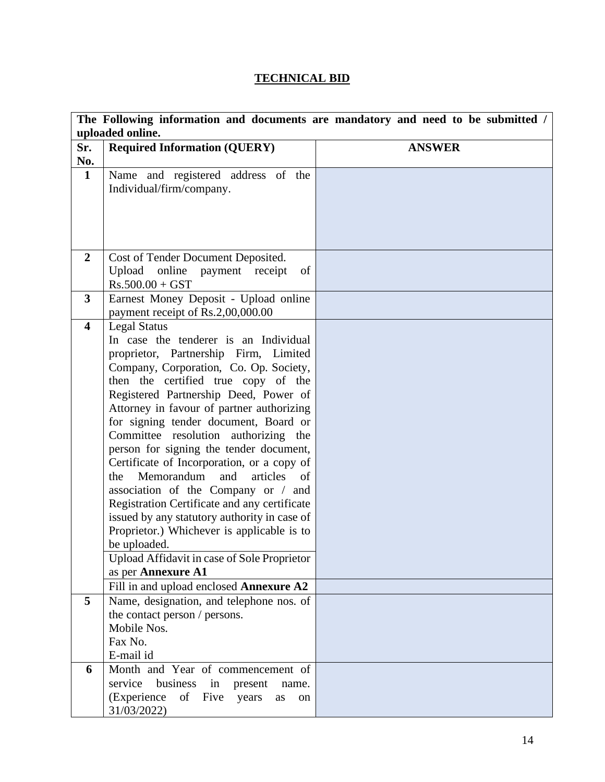## **TECHNICAL BID**

|                         | uploaded online.                                                                           | The Following information and documents are mandatory and need to be submitted / |
|-------------------------|--------------------------------------------------------------------------------------------|----------------------------------------------------------------------------------|
| Sr.                     | <b>Required Information (QUERY)</b>                                                        | <b>ANSWER</b>                                                                    |
| No.                     |                                                                                            |                                                                                  |
| $\mathbf{1}$            | Name and registered address of the                                                         |                                                                                  |
|                         | Individual/firm/company.                                                                   |                                                                                  |
|                         |                                                                                            |                                                                                  |
|                         |                                                                                            |                                                                                  |
|                         |                                                                                            |                                                                                  |
|                         |                                                                                            |                                                                                  |
| $\overline{2}$          | Cost of Tender Document Deposited.                                                         |                                                                                  |
|                         | Upload online payment receipt<br>of                                                        |                                                                                  |
|                         | $Rs.500.00 + GST$                                                                          |                                                                                  |
| 3                       | Earnest Money Deposit - Upload online                                                      |                                                                                  |
|                         | payment receipt of Rs.2,00,000.00                                                          |                                                                                  |
| $\overline{\mathbf{4}}$ | <b>Legal Status</b>                                                                        |                                                                                  |
|                         | In case the tenderer is an Individual                                                      |                                                                                  |
|                         | proprietor, Partnership Firm, Limited                                                      |                                                                                  |
|                         | Company, Corporation, Co. Op. Society,                                                     |                                                                                  |
|                         | then the certified true copy of the                                                        |                                                                                  |
|                         | Registered Partnership Deed, Power of                                                      |                                                                                  |
|                         | Attorney in favour of partner authorizing                                                  |                                                                                  |
|                         | for signing tender document, Board or                                                      |                                                                                  |
|                         | Committee resolution authorizing the                                                       |                                                                                  |
|                         | person for signing the tender document,                                                    |                                                                                  |
|                         | Certificate of Incorporation, or a copy of                                                 |                                                                                  |
|                         | Memorandum<br>and<br>articles<br>the<br>of                                                 |                                                                                  |
|                         | association of the Company or / and                                                        |                                                                                  |
|                         | Registration Certificate and any certificate                                               |                                                                                  |
|                         | issued by any statutory authority in case of<br>Proprietor.) Whichever is applicable is to |                                                                                  |
|                         | be uploaded.                                                                               |                                                                                  |
|                         | Upload Affidavit in case of Sole Proprietor                                                |                                                                                  |
|                         | as per Annexure A1                                                                         |                                                                                  |
|                         | Fill in and upload enclosed Annexure A2                                                    |                                                                                  |
| 5                       | Name, designation, and telephone nos. of                                                   |                                                                                  |
|                         | the contact person / persons.                                                              |                                                                                  |
|                         | Mobile Nos.                                                                                |                                                                                  |
|                         | Fax No.                                                                                    |                                                                                  |
|                         | E-mail id                                                                                  |                                                                                  |
| 6                       | Month and Year of commencement of                                                          |                                                                                  |
|                         | service<br>business in present<br>name.                                                    |                                                                                  |
|                         | (Experience of Five years<br>as<br>on                                                      |                                                                                  |
|                         | 31/03/2022)                                                                                |                                                                                  |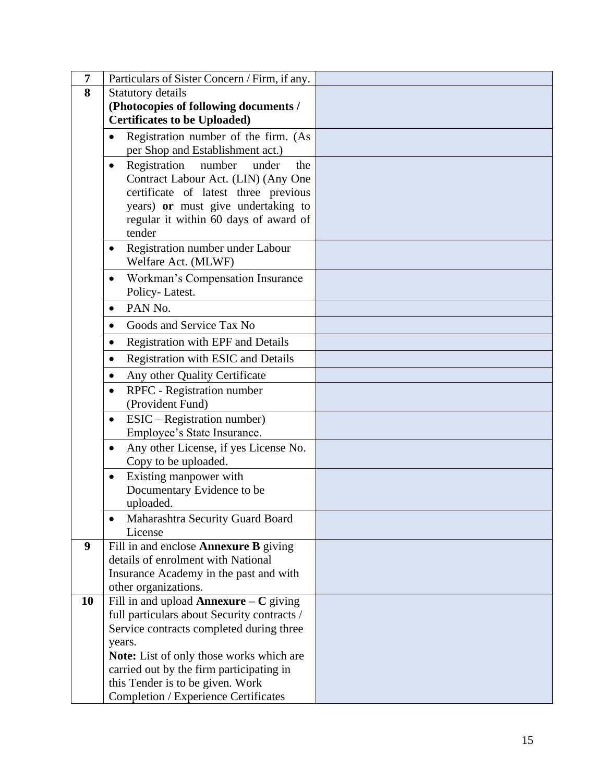| 7  | Particulars of Sister Concern / Firm, if any.                                                                                                                                                                                               |  |
|----|---------------------------------------------------------------------------------------------------------------------------------------------------------------------------------------------------------------------------------------------|--|
| 8  | Statutory details                                                                                                                                                                                                                           |  |
|    | (Photocopies of following documents /                                                                                                                                                                                                       |  |
|    | <b>Certificates to be Uploaded)</b>                                                                                                                                                                                                         |  |
|    | Registration number of the firm. (As<br>$\bullet$<br>per Shop and Establishment act.)                                                                                                                                                       |  |
|    | Registration<br>number<br>under<br>the<br>$\bullet$<br>Contract Labour Act. (LIN) (Any One<br>certificate of latest three previous<br>years) or must give undertaking to<br>regular it within 60 days of award of<br>tender                 |  |
|    | Registration number under Labour<br>$\bullet$<br>Welfare Act. (MLWF)                                                                                                                                                                        |  |
|    | Workman's Compensation Insurance<br>$\bullet$<br>Policy-Latest.                                                                                                                                                                             |  |
|    | PAN No.<br>$\bullet$                                                                                                                                                                                                                        |  |
|    | Goods and Service Tax No<br>$\bullet$                                                                                                                                                                                                       |  |
|    | Registration with EPF and Details<br>$\bullet$                                                                                                                                                                                              |  |
|    | Registration with ESIC and Details<br>$\bullet$                                                                                                                                                                                             |  |
|    | Any other Quality Certificate<br>$\bullet$                                                                                                                                                                                                  |  |
|    | RPFC - Registration number<br>$\bullet$<br>(Provident Fund)                                                                                                                                                                                 |  |
|    | ESIC – Registration number)<br>$\bullet$<br>Employee's State Insurance.                                                                                                                                                                     |  |
|    | Any other License, if yes License No.<br>$\bullet$<br>Copy to be uploaded.                                                                                                                                                                  |  |
|    | Existing manpower with<br>$\bullet$<br>Documentary Evidence to be<br>uploaded.                                                                                                                                                              |  |
|    | Maharashtra Security Guard Board<br>License                                                                                                                                                                                                 |  |
| 9  | Fill in and enclose <b>Annexure B</b> giving<br>details of enrolment with National<br>Insurance Academy in the past and with<br>other organizations.                                                                                        |  |
| 10 | Fill in and upload <b>Annexure</b> $-C$ giving<br>full particulars about Security contracts /<br>Service contracts completed during three<br>years.<br>Note: List of only those works which are<br>carried out by the firm participating in |  |
|    | this Tender is to be given. Work<br>Completion / Experience Certificates                                                                                                                                                                    |  |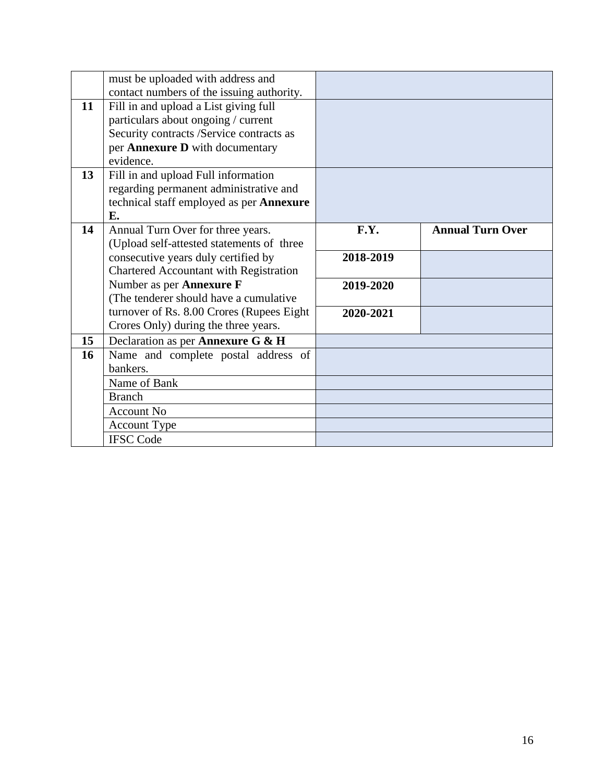|                 | must be uploaded with address and          |           |                         |
|-----------------|--------------------------------------------|-----------|-------------------------|
|                 | contact numbers of the issuing authority.  |           |                         |
| 11              | Fill in and upload a List giving full      |           |                         |
|                 | particulars about ongoing / current        |           |                         |
|                 | Security contracts /Service contracts as   |           |                         |
|                 | per Annexure D with documentary            |           |                         |
|                 | evidence.                                  |           |                         |
| 13 <sup>7</sup> | Fill in and upload Full information        |           |                         |
|                 | regarding permanent administrative and     |           |                         |
|                 | technical staff employed as per Annexure   |           |                         |
|                 | E.                                         |           |                         |
| 14              | Annual Turn Over for three years.          | F.Y.      | <b>Annual Turn Over</b> |
|                 | (Upload self-attested statements of three  |           |                         |
|                 | consecutive years duly certified by        | 2018-2019 |                         |
|                 | Chartered Accountant with Registration     |           |                         |
|                 | Number as per Annexure F                   | 2019-2020 |                         |
|                 | (The tenderer should have a cumulative     |           |                         |
|                 | turnover of Rs. 8.00 Crores (Rupees Eight) | 2020-2021 |                         |
|                 | Crores Only) during the three years.       |           |                         |
| 15              | Declaration as per Annexure G & H          |           |                         |
| 16              | Name and complete postal address of        |           |                         |
|                 | bankers.                                   |           |                         |
|                 | Name of Bank                               |           |                         |
|                 | <b>Branch</b>                              |           |                         |
|                 | <b>Account No</b>                          |           |                         |
|                 | <b>Account Type</b>                        |           |                         |
|                 | <b>IFSC Code</b>                           |           |                         |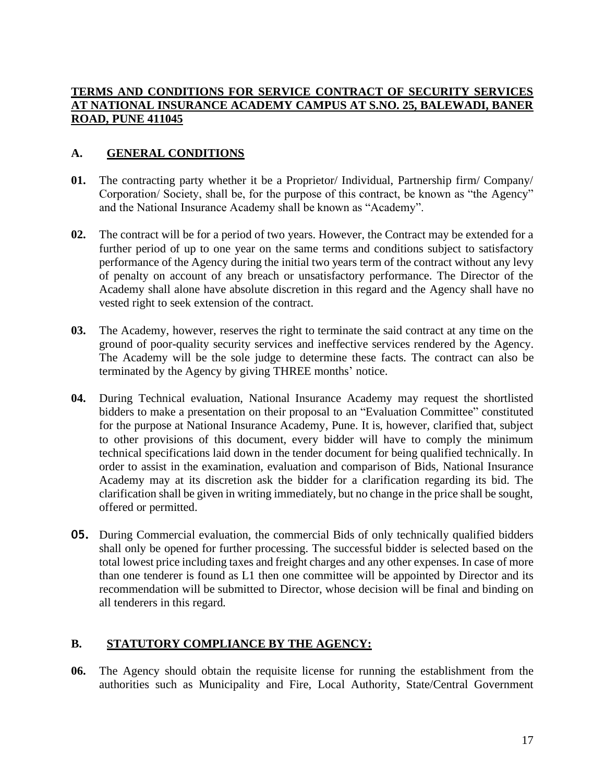#### **TERMS AND CONDITIONS FOR SERVICE CONTRACT OF SECURITY SERVICES AT NATIONAL INSURANCE ACADEMY CAMPUS AT S.NO. 25, BALEWADI, BANER ROAD, PUNE 411045**

#### **A. GENERAL CONDITIONS**

- **01.** The contracting party whether it be a Proprietor/ Individual, Partnership firm/ Company/ Corporation/ Society, shall be, for the purpose of this contract, be known as "the Agency" and the National Insurance Academy shall be known as "Academy".
- **02.** The contract will be for a period of two years. However, the Contract may be extended for a further period of up to one year on the same terms and conditions subject to satisfactory performance of the Agency during the initial two years term of the contract without any levy of penalty on account of any breach or unsatisfactory performance. The Director of the Academy shall alone have absolute discretion in this regard and the Agency shall have no vested right to seek extension of the contract.
- **03.** The Academy, however, reserves the right to terminate the said contract at any time on the ground of poor-quality security services and ineffective services rendered by the Agency. The Academy will be the sole judge to determine these facts. The contract can also be terminated by the Agency by giving THREE months' notice.
- **04.** During Technical evaluation, National Insurance Academy may request the shortlisted bidders to make a presentation on their proposal to an "Evaluation Committee" constituted for the purpose at National Insurance Academy, Pune. It is, however, clarified that, subject to other provisions of this document, every bidder will have to comply the minimum technical specifications laid down in the tender document for being qualified technically. In order to assist in the examination, evaluation and comparison of Bids, National Insurance Academy may at its discretion ask the bidder for a clarification regarding its bid. The clarification shall be given in writing immediately, but no change in the price shall be sought, offered or permitted.
- **05.** During Commercial evaluation, the commercial Bids of only technically qualified bidders shall only be opened for further processing. The successful bidder is selected based on the total lowest price including taxes and freight charges and any other expenses. In case of more than one tenderer is found as L1 then one committee will be appointed by Director and its recommendation will be submitted to Director, whose decision will be final and binding on all tenderers in this regard.

## **B. STATUTORY COMPLIANCE BY THE AGENCY:**

**06.** The Agency should obtain the requisite license for running the establishment from the authorities such as Municipality and Fire, Local Authority, State/Central Government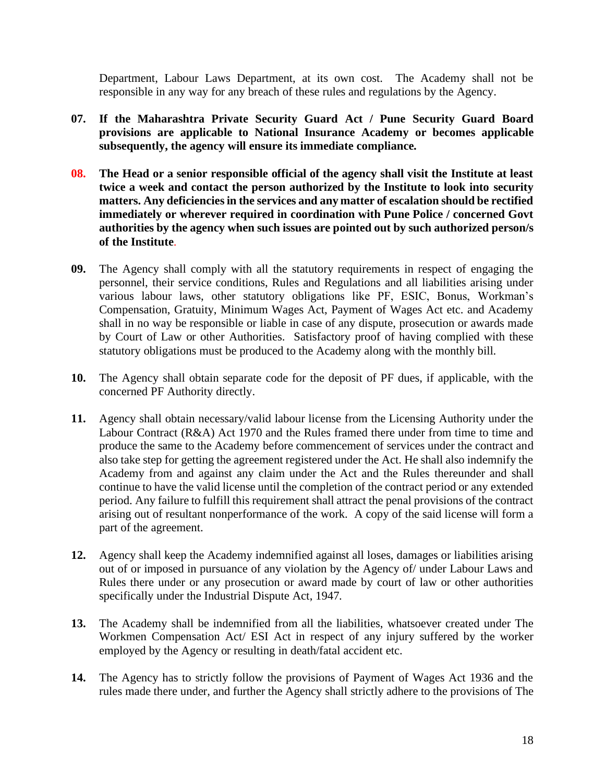Department, Labour Laws Department, at its own cost. The Academy shall not be responsible in any way for any breach of these rules and regulations by the Agency.

- **07. If the Maharashtra Private Security Guard Act / Pune Security Guard Board provisions are applicable to National Insurance Academy or becomes applicable subsequently, the agency will ensure its immediate compliance.**
- **08. The Head or a senior responsible official of the agency shall visit the Institute at least twice a week and contact the person authorized by the Institute to look into security matters. Any deficiencies in the services and any matter of escalation should be rectified immediately or wherever required in coordination with Pune Police / concerned Govt authorities by the agency when such issues are pointed out by such authorized person/s of the Institute**.
- **09.** The Agency shall comply with all the statutory requirements in respect of engaging the personnel, their service conditions, Rules and Regulations and all liabilities arising under various labour laws, other statutory obligations like PF, ESIC, Bonus, Workman's Compensation, Gratuity, Minimum Wages Act, Payment of Wages Act etc. and Academy shall in no way be responsible or liable in case of any dispute, prosecution or awards made by Court of Law or other Authorities. Satisfactory proof of having complied with these statutory obligations must be produced to the Academy along with the monthly bill.
- **10.** The Agency shall obtain separate code for the deposit of PF dues, if applicable, with the concerned PF Authority directly.
- **11.** Agency shall obtain necessary/valid labour license from the Licensing Authority under the Labour Contract (R&A) Act 1970 and the Rules framed there under from time to time and produce the same to the Academy before commencement of services under the contract and also take step for getting the agreement registered under the Act. He shall also indemnify the Academy from and against any claim under the Act and the Rules thereunder and shall continue to have the valid license until the completion of the contract period or any extended period. Any failure to fulfill this requirement shall attract the penal provisions of the contract arising out of resultant nonperformance of the work. A copy of the said license will form a part of the agreement.
- **12.** Agency shall keep the Academy indemnified against all loses, damages or liabilities arising out of or imposed in pursuance of any violation by the Agency of/ under Labour Laws and Rules there under or any prosecution or award made by court of law or other authorities specifically under the Industrial Dispute Act, 1947.
- **13.** The Academy shall be indemnified from all the liabilities, whatsoever created under The Workmen Compensation Act/ ESI Act in respect of any injury suffered by the worker employed by the Agency or resulting in death/fatal accident etc.
- **14.** The Agency has to strictly follow the provisions of Payment of Wages Act 1936 and the rules made there under, and further the Agency shall strictly adhere to the provisions of The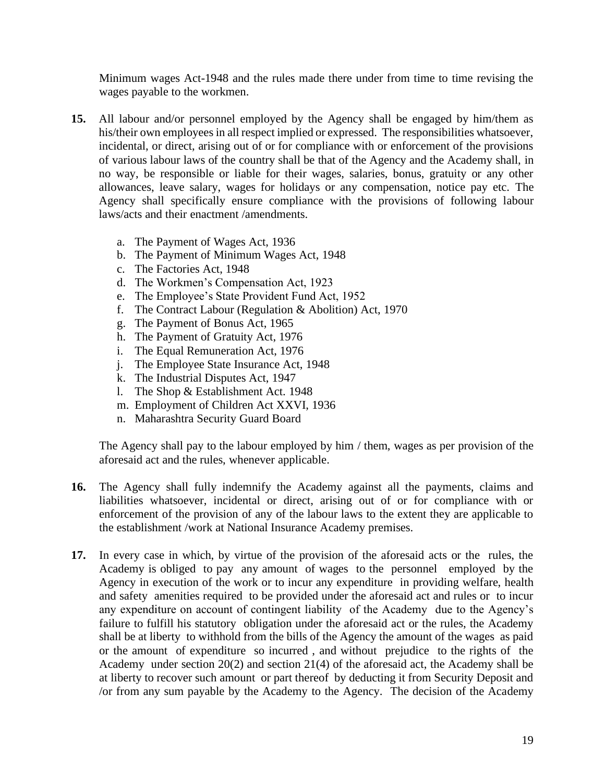Minimum wages Act-1948 and the rules made there under from time to time revising the wages payable to the workmen.

- **15.** All labour and/or personnel employed by the Agency shall be engaged by him/them as his/their own employees in all respect implied or expressed. The responsibilities whatsoever, incidental, or direct, arising out of or for compliance with or enforcement of the provisions of various labour laws of the country shall be that of the Agency and the Academy shall, in no way, be responsible or liable for their wages, salaries, bonus, gratuity or any other allowances, leave salary, wages for holidays or any compensation, notice pay etc. The Agency shall specifically ensure compliance with the provisions of following labour laws/acts and their enactment /amendments.
	- a. The Payment of Wages Act, 1936
	- b. The Payment of Minimum Wages Act, 1948
	- c. The Factories Act, 1948
	- d. The Workmen's Compensation Act, 1923
	- e. The Employee's State Provident Fund Act, 1952
	- f. The Contract Labour (Regulation & Abolition) Act, 1970
	- g. The Payment of Bonus Act, 1965
	- h. The Payment of Gratuity Act, 1976
	- i. The Equal Remuneration Act, 1976
	- j. The Employee State Insurance Act, 1948
	- k. The Industrial Disputes Act, 1947
	- l. The Shop & Establishment Act. 1948
	- m. Employment of Children Act XXVI, 1936
	- n. Maharashtra Security Guard Board

The Agency shall pay to the labour employed by him / them, wages as per provision of the aforesaid act and the rules, whenever applicable.

- **16.** The Agency shall fully indemnify the Academy against all the payments, claims and liabilities whatsoever, incidental or direct, arising out of or for compliance with or enforcement of the provision of any of the labour laws to the extent they are applicable to the establishment /work at National Insurance Academy premises.
- **17.** In every case in which, by virtue of the provision of the aforesaid acts or the rules, the Academy is obliged to pay any amount of wages to the personnel employed by the Agency in execution of the work or to incur any expenditure in providing welfare, health and safety amenities required to be provided under the aforesaid act and rules or to incur any expenditure on account of contingent liability of the Academy due to the Agency's failure to fulfill his statutory obligation under the aforesaid act or the rules, the Academy shall be at liberty to withhold from the bills of the Agency the amount of the wages as paid or the amount of expenditure so incurred , and without prejudice to the rights of the Academy under section 20(2) and section 21(4) of the aforesaid act, the Academy shall be at liberty to recover such amount or part thereof by deducting it from Security Deposit and /or from any sum payable by the Academy to the Agency. The decision of the Academy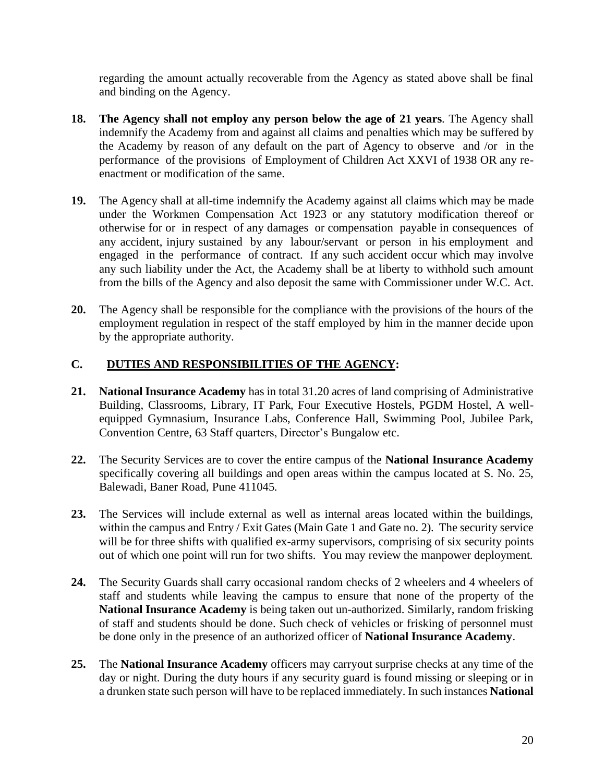regarding the amount actually recoverable from the Agency as stated above shall be final and binding on the Agency.

- **18. The Agency shall not employ any person below the age of 21 years**. The Agency shall indemnify the Academy from and against all claims and penalties which may be suffered by the Academy by reason of any default on the part of Agency to observe and /or in the performance of the provisions of Employment of Children Act XXVI of 1938 OR any reenactment or modification of the same.
- **19.** The Agency shall at all-time indemnify the Academy against all claims which may be made under the Workmen Compensation Act 1923 or any statutory modification thereof or otherwise for or in respect of any damages or compensation payable in consequences of any accident, injury sustained by any labour/servant or person in his employment and engaged in the performance of contract. If any such accident occur which may involve any such liability under the Act, the Academy shall be at liberty to withhold such amount from the bills of the Agency and also deposit the same with Commissioner under W.C. Act.
- **20.** The Agency shall be responsible for the compliance with the provisions of the hours of the employment regulation in respect of the staff employed by him in the manner decide upon by the appropriate authority.

#### **C. DUTIES AND RESPONSIBILITIES OF THE AGENCY:**

- **21. National Insurance Academy** has in total 31.20 acres of land comprising of Administrative Building, Classrooms, Library, IT Park, Four Executive Hostels, PGDM Hostel, A wellequipped Gymnasium, Insurance Labs, Conference Hall, Swimming Pool, Jubilee Park, Convention Centre, 63 Staff quarters, Director's Bungalow etc.
- **22.** The Security Services are to cover the entire campus of the **National Insurance Academy** specifically covering all buildings and open areas within the campus located at S. No. 25, Balewadi, Baner Road, Pune 411045.
- **23.** The Services will include external as well as internal areas located within the buildings, within the campus and Entry / Exit Gates (Main Gate 1 and Gate no. 2). The security service will be for three shifts with qualified ex-army supervisors, comprising of six security points out of which one point will run for two shifts. You may review the manpower deployment.
- **24.** The Security Guards shall carry occasional random checks of 2 wheelers and 4 wheelers of staff and students while leaving the campus to ensure that none of the property of the **National Insurance Academy** is being taken out un-authorized. Similarly, random frisking of staff and students should be done. Such check of vehicles or frisking of personnel must be done only in the presence of an authorized officer of **National Insurance Academy**.
- **25.** The **National Insurance Academy** officers may carryout surprise checks at any time of the day or night. During the duty hours if any security guard is found missing or sleeping or in a drunken state such person will have to be replaced immediately. In such instances **National**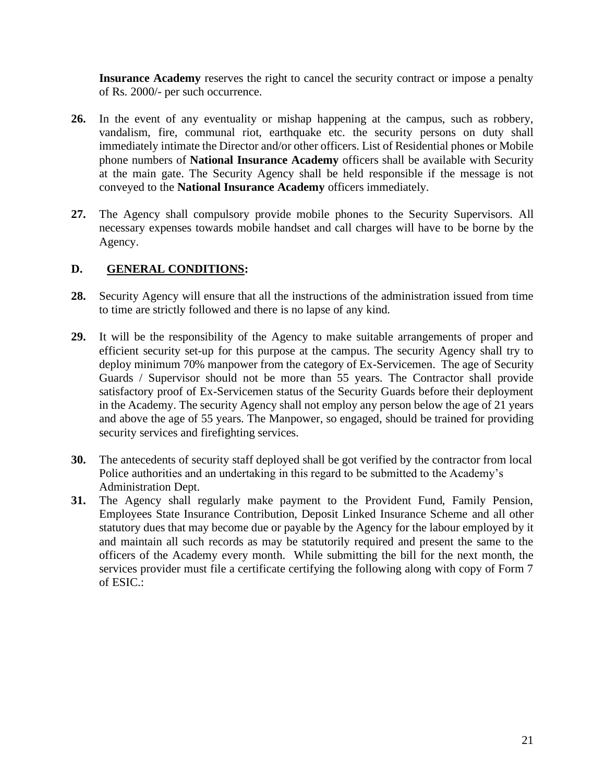**Insurance Academy** reserves the right to cancel the security contract or impose a penalty of Rs. 2000/- per such occurrence.

- **26.** In the event of any eventuality or mishap happening at the campus, such as robbery, vandalism, fire, communal riot, earthquake etc. the security persons on duty shall immediately intimate the Director and/or other officers. List of Residential phones or Mobile phone numbers of **National Insurance Academy** officers shall be available with Security at the main gate. The Security Agency shall be held responsible if the message is not conveyed to the **National Insurance Academy** officers immediately.
- **27.** The Agency shall compulsory provide mobile phones to the Security Supervisors. All necessary expenses towards mobile handset and call charges will have to be borne by the Agency.

#### **D. GENERAL CONDITIONS:**

- **28.** Security Agency will ensure that all the instructions of the administration issued from time to time are strictly followed and there is no lapse of any kind.
- **29.** It will be the responsibility of the Agency to make suitable arrangements of proper and efficient security set-up for this purpose at the campus. The security Agency shall try to deploy minimum 70% manpower from the category of Ex-Servicemen. The age of Security Guards / Supervisor should not be more than 55 years. The Contractor shall provide satisfactory proof of Ex-Servicemen status of the Security Guards before their deployment in the Academy. The security Agency shall not employ any person below the age of 21 years and above the age of 55 years. The Manpower, so engaged, should be trained for providing security services and firefighting services.
- **30.** The antecedents of security staff deployed shall be got verified by the contractor from local Police authorities and an undertaking in this regard to be submitted to the Academy's Administration Dept.
- **31.** The Agency shall regularly make payment to the Provident Fund, Family Pension, Employees State Insurance Contribution, Deposit Linked Insurance Scheme and all other statutory dues that may become due or payable by the Agency for the labour employed by it and maintain all such records as may be statutorily required and present the same to the officers of the Academy every month. While submitting the bill for the next month, the services provider must file a certificate certifying the following along with copy of Form 7 of ESIC.: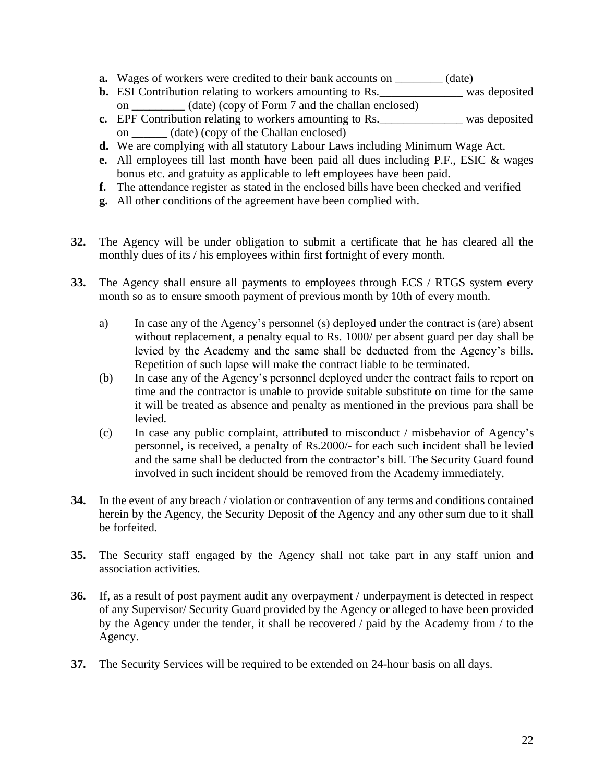- **a.** Wages of workers were credited to their bank accounts on \_\_\_\_\_\_\_\_ (date)
- **b.** ESI Contribution relating to workers amounting to Rs. \_\_\_\_\_\_\_\_\_\_\_\_\_\_\_ was deposited on \_\_\_\_\_\_\_\_\_ (date) (copy of Form 7 and the challan enclosed)
- **c.** EPF Contribution relating to workers amounting to Rs. was deposited on \_\_\_\_\_\_ (date) (copy of the Challan enclosed)
- **d.** We are complying with all statutory Labour Laws including Minimum Wage Act.
- **e.** All employees till last month have been paid all dues including P.F., ESIC & wages bonus etc. and gratuity as applicable to left employees have been paid.
- **f.** The attendance register as stated in the enclosed bills have been checked and verified
- **g.** All other conditions of the agreement have been complied with.
- **32.** The Agency will be under obligation to submit a certificate that he has cleared all the monthly dues of its / his employees within first fortnight of every month.
- **33.** The Agency shall ensure all payments to employees through ECS / RTGS system every month so as to ensure smooth payment of previous month by 10th of every month.
	- a) In case any of the Agency's personnel (s) deployed under the contract is (are) absent without replacement, a penalty equal to Rs. 1000/ per absent guard per day shall be levied by the Academy and the same shall be deducted from the Agency's bills. Repetition of such lapse will make the contract liable to be terminated.
	- (b) In case any of the Agency's personnel deployed under the contract fails to report on time and the contractor is unable to provide suitable substitute on time for the same it will be treated as absence and penalty as mentioned in the previous para shall be levied.
	- (c) In case any public complaint, attributed to misconduct / misbehavior of Agency's personnel, is received, a penalty of Rs.2000/- for each such incident shall be levied and the same shall be deducted from the contractor's bill. The Security Guard found involved in such incident should be removed from the Academy immediately.
- **34.** In the event of any breach / violation or contravention of any terms and conditions contained herein by the Agency, the Security Deposit of the Agency and any other sum due to it shall be forfeited.
- **35.** The Security staff engaged by the Agency shall not take part in any staff union and association activities.
- **36.** If, as a result of post payment audit any overpayment / underpayment is detected in respect of any Supervisor/ Security Guard provided by the Agency or alleged to have been provided by the Agency under the tender, it shall be recovered / paid by the Academy from / to the Agency.
- **37.** The Security Services will be required to be extended on 24-hour basis on all days.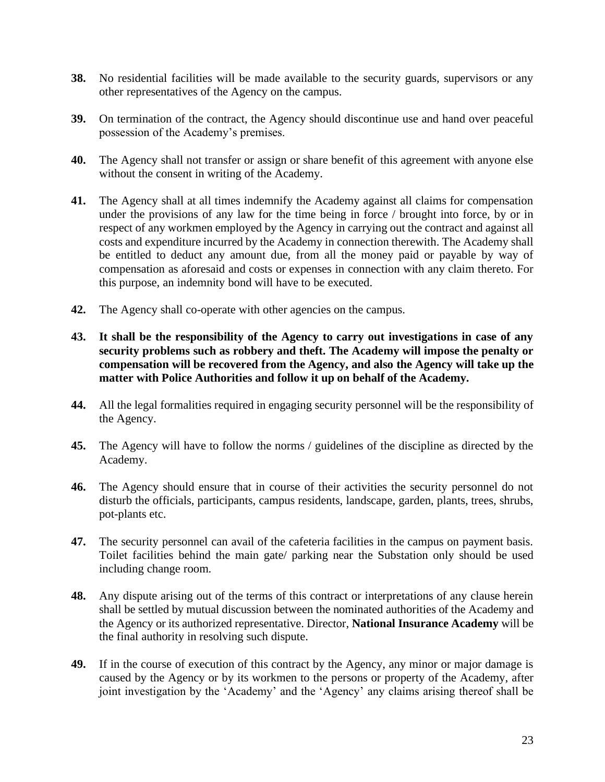- **38.** No residential facilities will be made available to the security guards, supervisors or any other representatives of the Agency on the campus.
- **39.** On termination of the contract, the Agency should discontinue use and hand over peaceful possession of the Academy's premises.
- **40.** The Agency shall not transfer or assign or share benefit of this agreement with anyone else without the consent in writing of the Academy.
- **41.** The Agency shall at all times indemnify the Academy against all claims for compensation under the provisions of any law for the time being in force / brought into force, by or in respect of any workmen employed by the Agency in carrying out the contract and against all costs and expenditure incurred by the Academy in connection therewith. The Academy shall be entitled to deduct any amount due, from all the money paid or payable by way of compensation as aforesaid and costs or expenses in connection with any claim thereto. For this purpose, an indemnity bond will have to be executed.
- **42.** The Agency shall co-operate with other agencies on the campus.
- **43. It shall be the responsibility of the Agency to carry out investigations in case of any security problems such as robbery and theft. The Academy will impose the penalty or compensation will be recovered from the Agency, and also the Agency will take up the matter with Police Authorities and follow it up on behalf of the Academy.**
- **44.** All the legal formalities required in engaging security personnel will be the responsibility of the Agency.
- **45.** The Agency will have to follow the norms / guidelines of the discipline as directed by the Academy.
- **46.** The Agency should ensure that in course of their activities the security personnel do not disturb the officials, participants, campus residents, landscape, garden, plants, trees, shrubs, pot-plants etc.
- **47.** The security personnel can avail of the cafeteria facilities in the campus on payment basis. Toilet facilities behind the main gate/ parking near the Substation only should be used including change room.
- **48.** Any dispute arising out of the terms of this contract or interpretations of any clause herein shall be settled by mutual discussion between the nominated authorities of the Academy and the Agency or its authorized representative. Director, **National Insurance Academy** will be the final authority in resolving such dispute.
- **49.** If in the course of execution of this contract by the Agency, any minor or major damage is caused by the Agency or by its workmen to the persons or property of the Academy, after joint investigation by the 'Academy' and the 'Agency' any claims arising thereof shall be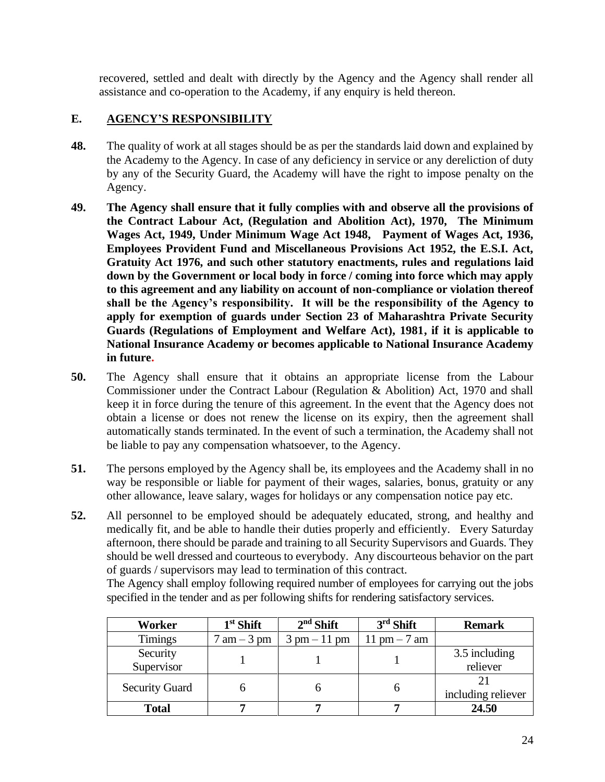recovered, settled and dealt with directly by the Agency and the Agency shall render all assistance and co-operation to the Academy, if any enquiry is held thereon.

#### **E. AGENCY'S RESPONSIBILITY**

- **48.** The quality of work at all stages should be as per the standards laid down and explained by the Academy to the Agency. In case of any deficiency in service or any dereliction of duty by any of the Security Guard, the Academy will have the right to impose penalty on the Agency.
- **49. The Agency shall ensure that it fully complies with and observe all the provisions of the Contract Labour Act, (Regulation and Abolition Act), 1970, The Minimum Wages Act, 1949, Under Minimum Wage Act 1948, Payment of Wages Act, 1936, Employees Provident Fund and Miscellaneous Provisions Act 1952, the E.S.I. Act, Gratuity Act 1976, and such other statutory enactments, rules and regulations laid down by the Government or local body in force / coming into force which may apply to this agreement and any liability on account of non-compliance or violation thereof shall be the Agency's responsibility. It will be the responsibility of the Agency to apply for exemption of guards under Section 23 of Maharashtra Private Security Guards (Regulations of Employment and Welfare Act), 1981, if it is applicable to National Insurance Academy or becomes applicable to National Insurance Academy in future.**
- **50.** The Agency shall ensure that it obtains an appropriate license from the Labour Commissioner under the Contract Labour (Regulation & Abolition) Act, 1970 and shall keep it in force during the tenure of this agreement. In the event that the Agency does not obtain a license or does not renew the license on its expiry, then the agreement shall automatically stands terminated. In the event of such a termination, the Academy shall not be liable to pay any compensation whatsoever, to the Agency.
- **51.** The persons employed by the Agency shall be, its employees and the Academy shall in no way be responsible or liable for payment of their wages, salaries, bonus, gratuity or any other allowance, leave salary, wages for holidays or any compensation notice pay etc.
- **52.** All personnel to be employed should be adequately educated, strong, and healthy and medically fit, and be able to handle their duties properly and efficiently. Every Saturday afternoon, there should be parade and training to all Security Supervisors and Guards. They should be well dressed and courteous to everybody. Any discourteous behavior on the part of guards / supervisors may lead to termination of this contract.

The Agency shall employ following required number of employees for carrying out the jobs specified in the tender and as per following shifts for rendering satisfactory services.

| Worker                 | $1st$ Shift                   | $2nd$ Shift                    | $3rd$ Shift   | <b>Remark</b>             |
|------------------------|-------------------------------|--------------------------------|---------------|---------------------------|
| <b>Timings</b>         | $7 \text{ am} - 3 \text{ pm}$ | $3 \text{ pm} - 11 \text{ pm}$ | 11 pm $-7$ am |                           |
| Security<br>Supervisor |                               |                                |               | 3.5 including<br>reliever |
| <b>Security Guard</b>  |                               |                                |               | including reliever        |
| <b>Total</b>           |                               |                                |               | 24.50                     |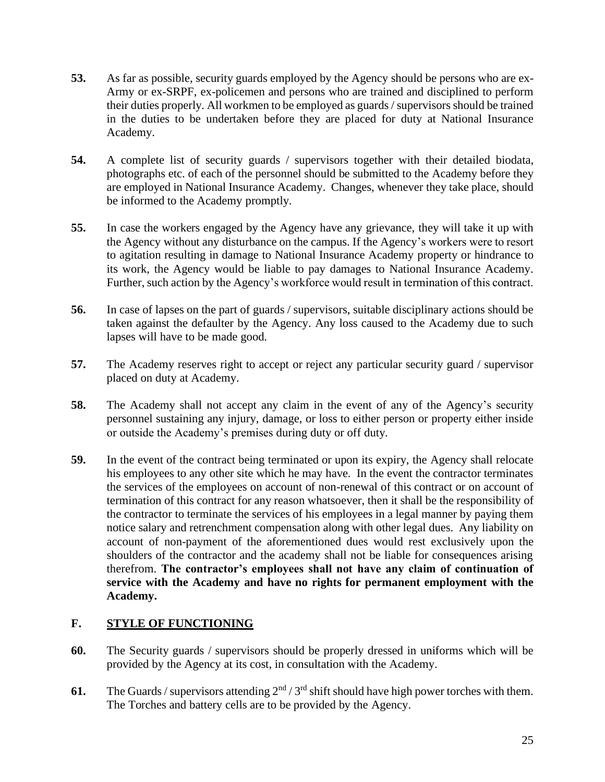- **53.** As far as possible, security guards employed by the Agency should be persons who are ex-Army or ex-SRPF, ex-policemen and persons who are trained and disciplined to perform their duties properly. All workmen to be employed as guards / supervisors should be trained in the duties to be undertaken before they are placed for duty at National Insurance Academy.
- **54.** A complete list of security guards / supervisors together with their detailed biodata, photographs etc. of each of the personnel should be submitted to the Academy before they are employed in National Insurance Academy. Changes, whenever they take place, should be informed to the Academy promptly.
- **55.** In case the workers engaged by the Agency have any grievance, they will take it up with the Agency without any disturbance on the campus. If the Agency's workers were to resort to agitation resulting in damage to National Insurance Academy property or hindrance to its work, the Agency would be liable to pay damages to National Insurance Academy. Further, such action by the Agency's workforce would result in termination of this contract.
- **56.** In case of lapses on the part of guards / supervisors, suitable disciplinary actions should be taken against the defaulter by the Agency. Any loss caused to the Academy due to such lapses will have to be made good.
- **57.** The Academy reserves right to accept or reject any particular security guard / supervisor placed on duty at Academy.
- **58.** The Academy shall not accept any claim in the event of any of the Agency's security personnel sustaining any injury, damage, or loss to either person or property either inside or outside the Academy's premises during duty or off duty.
- **59.** In the event of the contract being terminated or upon its expiry, the Agency shall relocate his employees to any other site which he may have. In the event the contractor terminates the services of the employees on account of non-renewal of this contract or on account of termination of this contract for any reason whatsoever, then it shall be the responsibility of the contractor to terminate the services of his employees in a legal manner by paying them notice salary and retrenchment compensation along with other legal dues. Any liability on account of non-payment of the aforementioned dues would rest exclusively upon the shoulders of the contractor and the academy shall not be liable for consequences arising therefrom. **The contractor's employees shall not have any claim of continuation of service with the Academy and have no rights for permanent employment with the Academy.**

#### **F. STYLE OF FUNCTIONING**

- **60.** The Security guards / supervisors should be properly dressed in uniforms which will be provided by the Agency at its cost, in consultation with the Academy.
- **61.** The Guards / supervisors attending  $2^{nd}$  /  $3^{rd}$  shift should have high power torches with them. The Torches and battery cells are to be provided by the Agency.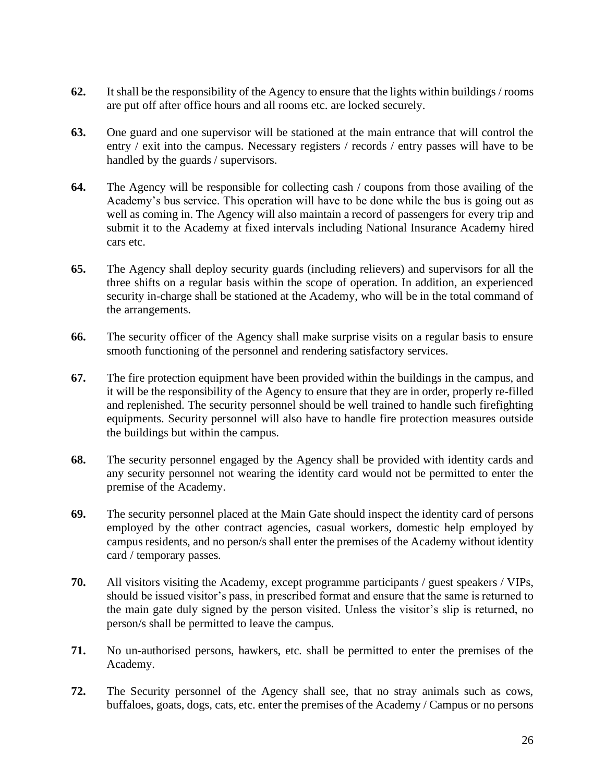- **62.** It shall be the responsibility of the Agency to ensure that the lights within buildings / rooms are put off after office hours and all rooms etc. are locked securely.
- **63.** One guard and one supervisor will be stationed at the main entrance that will control the entry / exit into the campus. Necessary registers / records / entry passes will have to be handled by the guards / supervisors.
- **64.** The Agency will be responsible for collecting cash / coupons from those availing of the Academy's bus service. This operation will have to be done while the bus is going out as well as coming in. The Agency will also maintain a record of passengers for every trip and submit it to the Academy at fixed intervals including National Insurance Academy hired cars etc.
- **65.** The Agency shall deploy security guards (including relievers) and supervisors for all the three shifts on a regular basis within the scope of operation. In addition, an experienced security in-charge shall be stationed at the Academy, who will be in the total command of the arrangements.
- **66.** The security officer of the Agency shall make surprise visits on a regular basis to ensure smooth functioning of the personnel and rendering satisfactory services.
- **67.** The fire protection equipment have been provided within the buildings in the campus, and it will be the responsibility of the Agency to ensure that they are in order, properly re-filled and replenished. The security personnel should be well trained to handle such firefighting equipments. Security personnel will also have to handle fire protection measures outside the buildings but within the campus.
- **68.** The security personnel engaged by the Agency shall be provided with identity cards and any security personnel not wearing the identity card would not be permitted to enter the premise of the Academy.
- **69.** The security personnel placed at the Main Gate should inspect the identity card of persons employed by the other contract agencies, casual workers, domestic help employed by campus residents, and no person/s shall enter the premises of the Academy without identity card / temporary passes.
- **70.** All visitors visiting the Academy, except programme participants / guest speakers / VIPs, should be issued visitor's pass, in prescribed format and ensure that the same is returned to the main gate duly signed by the person visited. Unless the visitor's slip is returned, no person/s shall be permitted to leave the campus.
- **71.** No un-authorised persons, hawkers, etc. shall be permitted to enter the premises of the Academy.
- **72.** The Security personnel of the Agency shall see, that no stray animals such as cows, buffaloes, goats, dogs, cats, etc. enter the premises of the Academy / Campus or no persons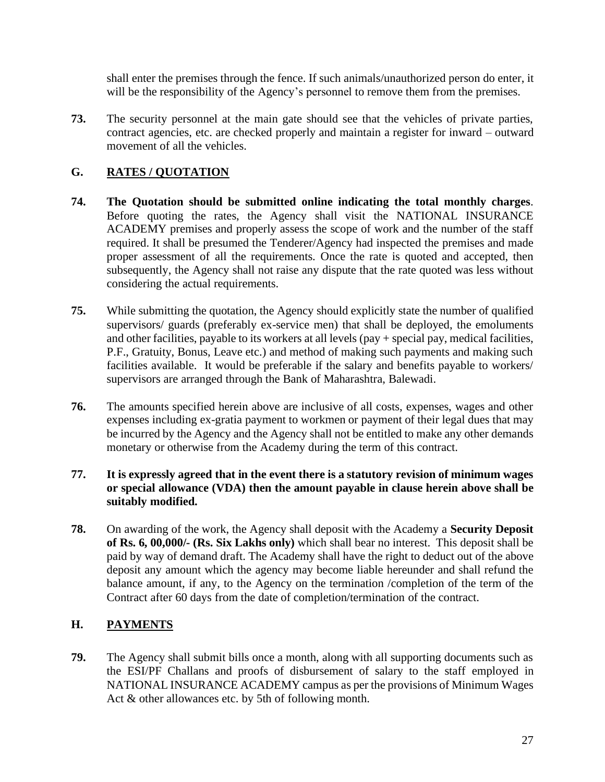shall enter the premises through the fence. If such animals/unauthorized person do enter, it will be the responsibility of the Agency's personnel to remove them from the premises.

**73.** The security personnel at the main gate should see that the vehicles of private parties, contract agencies, etc. are checked properly and maintain a register for inward – outward movement of all the vehicles.

## **G. RATES / QUOTATION**

- **74. The Quotation should be submitted online indicating the total monthly charges**. Before quoting the rates, the Agency shall visit the NATIONAL INSURANCE ACADEMY premises and properly assess the scope of work and the number of the staff required. It shall be presumed the Tenderer/Agency had inspected the premises and made proper assessment of all the requirements. Once the rate is quoted and accepted, then subsequently, the Agency shall not raise any dispute that the rate quoted was less without considering the actual requirements.
- **75.** While submitting the quotation, the Agency should explicitly state the number of qualified supervisors/ guards (preferably ex-service men) that shall be deployed, the emoluments and other facilities, payable to its workers at all levels (pay + special pay, medical facilities, P.F., Gratuity, Bonus, Leave etc.) and method of making such payments and making such facilities available. It would be preferable if the salary and benefits payable to workers/ supervisors are arranged through the Bank of Maharashtra, Balewadi.
- **76.** The amounts specified herein above are inclusive of all costs, expenses, wages and other expenses including ex-gratia payment to workmen or payment of their legal dues that may be incurred by the Agency and the Agency shall not be entitled to make any other demands monetary or otherwise from the Academy during the term of this contract.
- **77. It is expressly agreed that in the event there is a statutory revision of minimum wages or special allowance (VDA) then the amount payable in clause herein above shall be suitably modified.**
- **78.** On awarding of the work, the Agency shall deposit with the Academy a **Security Deposit of Rs. 6, 00,000/- (Rs. Six Lakhs only)** which shall bear no interest. This deposit shall be paid by way of demand draft. The Academy shall have the right to deduct out of the above deposit any amount which the agency may become liable hereunder and shall refund the balance amount, if any, to the Agency on the termination /completion of the term of the Contract after 60 days from the date of completion/termination of the contract.

## **H. PAYMENTS**

**79.** The Agency shall submit bills once a month, along with all supporting documents such as the ESI/PF Challans and proofs of disbursement of salary to the staff employed in NATIONAL INSURANCE ACADEMY campus as per the provisions of Minimum Wages Act & other allowances etc. by 5th of following month.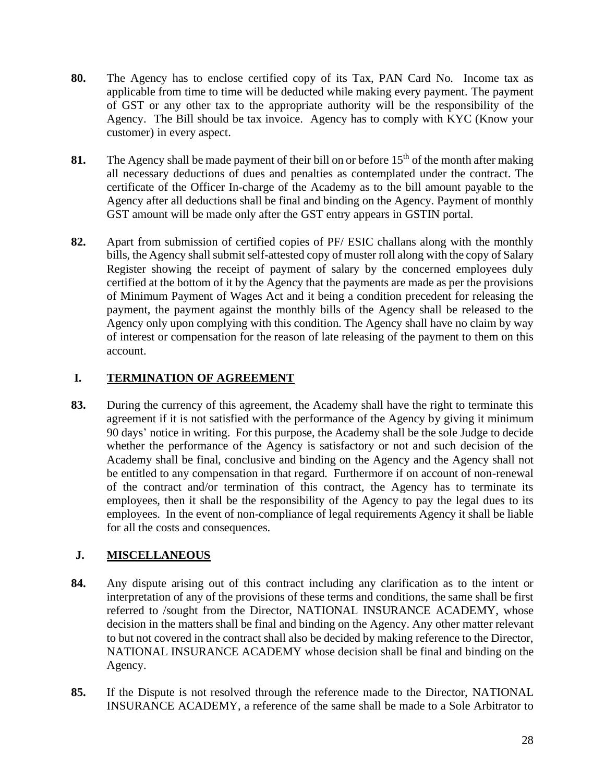- **80.** The Agency has to enclose certified copy of its Tax, PAN Card No. Income tax as applicable from time to time will be deducted while making every payment. The payment of GST or any other tax to the appropriate authority will be the responsibility of the Agency. The Bill should be tax invoice. Agency has to comply with KYC (Know your customer) in every aspect.
- **81.** The Agency shall be made payment of their bill on or before 15<sup>th</sup> of the month after making all necessary deductions of dues and penalties as contemplated under the contract. The certificate of the Officer In-charge of the Academy as to the bill amount payable to the Agency after all deductions shall be final and binding on the Agency. Payment of monthly GST amount will be made only after the GST entry appears in GSTIN portal.
- **82.** Apart from submission of certified copies of PF/ ESIC challans along with the monthly bills, the Agency shall submit self-attested copy of muster roll along with the copy of Salary Register showing the receipt of payment of salary by the concerned employees duly certified at the bottom of it by the Agency that the payments are made as per the provisions of Minimum Payment of Wages Act and it being a condition precedent for releasing the payment, the payment against the monthly bills of the Agency shall be released to the Agency only upon complying with this condition. The Agency shall have no claim by way of interest or compensation for the reason of late releasing of the payment to them on this account.

## **I. TERMINATION OF AGREEMENT**

**83.** During the currency of this agreement, the Academy shall have the right to terminate this agreement if it is not satisfied with the performance of the Agency by giving it minimum 90 days' notice in writing. For this purpose, the Academy shall be the sole Judge to decide whether the performance of the Agency is satisfactory or not and such decision of the Academy shall be final, conclusive and binding on the Agency and the Agency shall not be entitled to any compensation in that regard. Furthermore if on account of non-renewal of the contract and/or termination of this contract, the Agency has to terminate its employees, then it shall be the responsibility of the Agency to pay the legal dues to its employees. In the event of non-compliance of legal requirements Agency it shall be liable for all the costs and consequences.

## **J. MISCELLANEOUS**

- **84.** Any dispute arising out of this contract including any clarification as to the intent or interpretation of any of the provisions of these terms and conditions, the same shall be first referred to /sought from the Director, NATIONAL INSURANCE ACADEMY, whose decision in the matters shall be final and binding on the Agency. Any other matter relevant to but not covered in the contract shall also be decided by making reference to the Director, NATIONAL INSURANCE ACADEMY whose decision shall be final and binding on the Agency.
- **85.** If the Dispute is not resolved through the reference made to the Director, NATIONAL INSURANCE ACADEMY, a reference of the same shall be made to a Sole Arbitrator to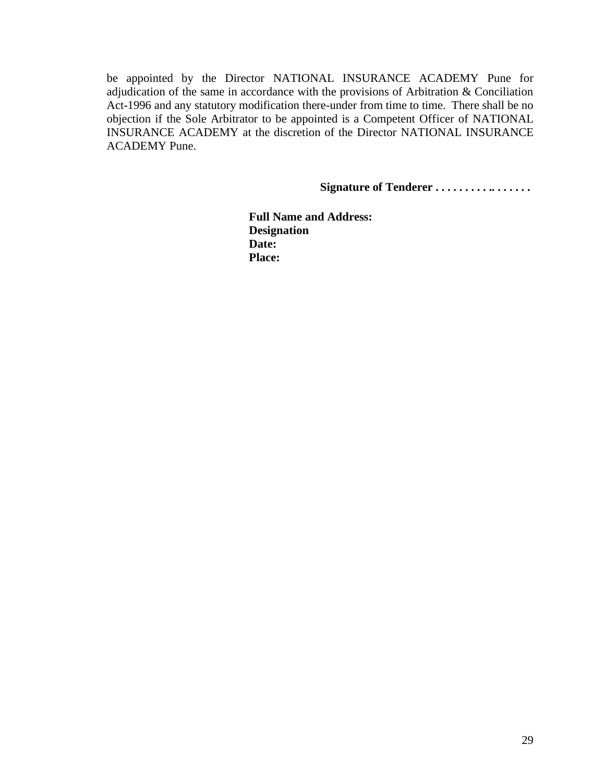be appointed by the Director NATIONAL INSURANCE ACADEMY Pune for adjudication of the same in accordance with the provisions of Arbitration & Conciliation Act-1996 and any statutory modification there-under from time to time. There shall be no objection if the Sole Arbitrator to be appointed is a Competent Officer of NATIONAL INSURANCE ACADEMY at the discretion of the Director NATIONAL INSURANCE ACADEMY Pune.

**Signature of Tenderer . . . . . . . . . .. . . . . . .** 

**Full Name and Address: Designation Date: Place:**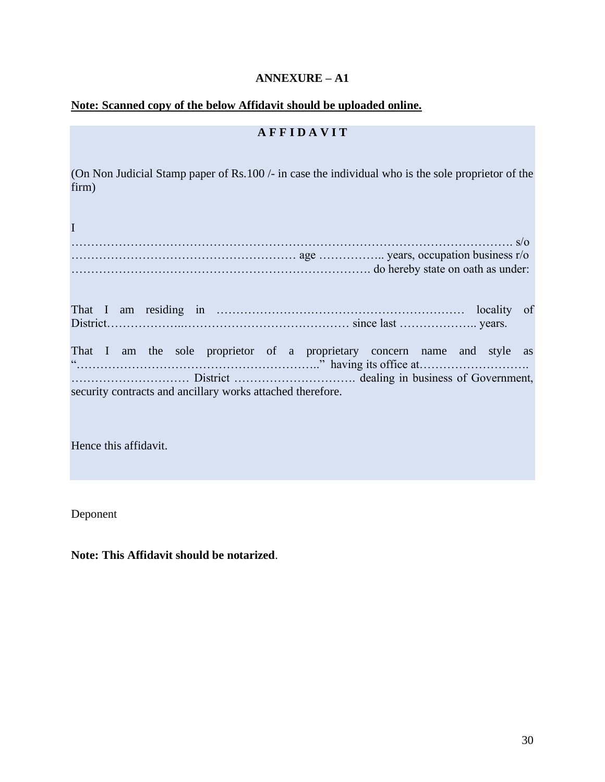## **ANNEXURE – A1**

### **Note: Scanned copy of the below Affidavit should be uploaded online.**

## **A F F I D A V I T**

(On Non Judicial Stamp paper of Rs.100 /- in case the individual who is the sole proprietor of the firm)

|                                                            | do hereby state on oath as under:                                        |
|------------------------------------------------------------|--------------------------------------------------------------------------|
|                                                            |                                                                          |
|                                                            | That I am the sole proprietor of a proprietary concern name and style as |
| security contracts and ancillary works attached therefore. |                                                                          |

Hence this affidavit.

Deponent

**Note: This Affidavit should be notarized**.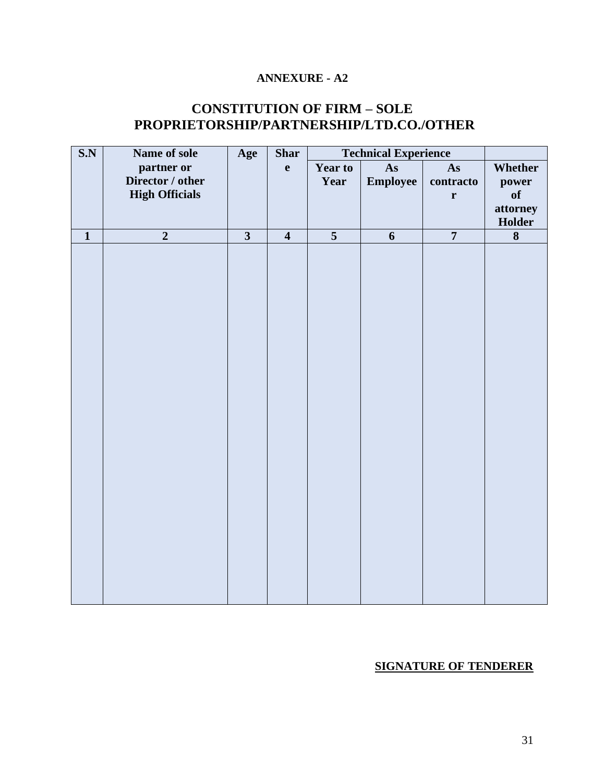## **ANNEXURE - A2**

## **CONSTITUTION OF FIRM – SOLE PROPRIETORSHIP/PARTNERSHIP/LTD.CO./OTHER**

| S.N          | Name of sole          | Age                     | <b>Shar</b>    |                | <b>Technical Experience</b> |                |          |
|--------------|-----------------------|-------------------------|----------------|----------------|-----------------------------|----------------|----------|
|              | partner or            |                         | $\mathbf{e}$   | Year to        | As                          | As             | Whether  |
|              | Director / other      |                         |                | Year           | Employee                    | contracto      | power    |
|              | <b>High Officials</b> |                         |                |                |                             | $\mathbf r$    | of       |
|              |                       |                         |                |                |                             |                | attorney |
|              |                       |                         |                |                |                             |                | Holder   |
| $\mathbf{1}$ | $\overline{2}$        | $\overline{\mathbf{3}}$ | $\overline{4}$ | $\overline{5}$ | 6                           | $\overline{7}$ | 8        |
|              |                       |                         |                |                |                             |                |          |
|              |                       |                         |                |                |                             |                |          |
|              |                       |                         |                |                |                             |                |          |
|              |                       |                         |                |                |                             |                |          |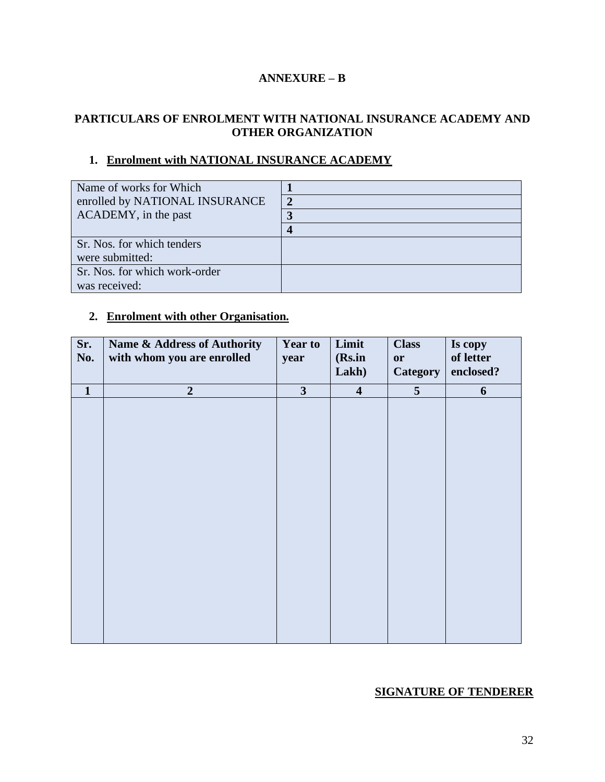#### **ANNEXURE – B**

#### **PARTICULARS OF ENROLMENT WITH NATIONAL INSURANCE ACADEMY AND OTHER ORGANIZATION**

#### **1. Enrolment with NATIONAL INSURANCE ACADEMY**

| Name of works for Which        |  |
|--------------------------------|--|
| enrolled by NATIONAL INSURANCE |  |
| ACADEMY, in the past           |  |
|                                |  |
| Sr. Nos. for which tenders     |  |
| were submitted:                |  |
| Sr. Nos. for which work-order  |  |
| was received:                  |  |

### **2. Enrolment with other Organisation.**

| Sr.<br>No.   | Name & Address of Authority<br>with whom you are enrolled | <b>Year to</b><br>year | Limit<br>(Rs.in<br>Lakh) | <b>Class</b><br>or<br><b>Category</b> | Is copy<br>of letter<br>enclosed? |
|--------------|-----------------------------------------------------------|------------------------|--------------------------|---------------------------------------|-----------------------------------|
| $\mathbf{1}$ | $\overline{2}$                                            | 3 <sup>1</sup>         | $\overline{\mathbf{4}}$  | 5 <sup>5</sup>                        | 6                                 |
|              |                                                           |                        |                          |                                       |                                   |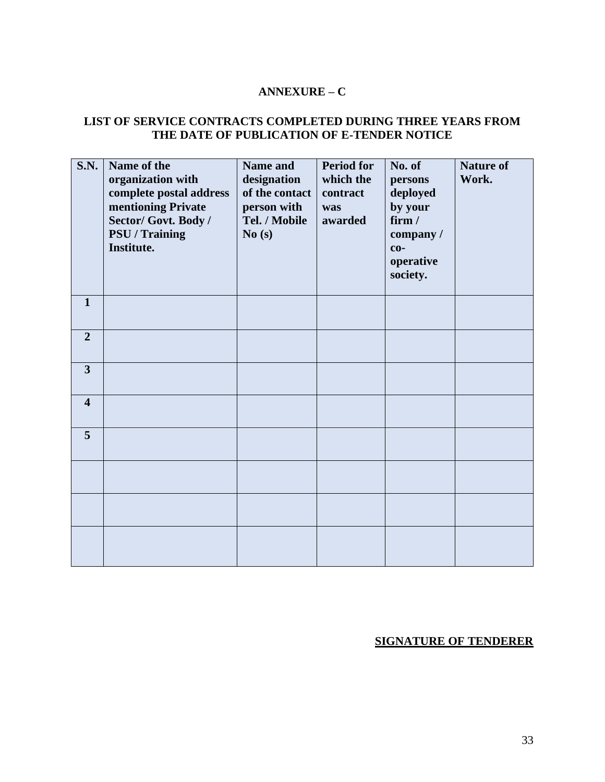#### **ANNEXURE – C**

#### **LIST OF SERVICE CONTRACTS COMPLETED DURING THREE YEARS FROM THE DATE OF PUBLICATION OF E-TENDER NOTICE**

| <b>S.N.</b>             | Name of the<br>organization with<br>complete postal address<br>mentioning Private<br>Sector/ Govt. Body /<br>PSU / Training<br>Institute. | Name and<br>designation<br>of the contact<br>person with<br>Tel. / Mobile<br>No(s) | <b>Period for</b><br>which the<br>contract<br>was<br>awarded | No. of<br>persons<br>deployed<br>by your<br>firm /<br>company /<br>$co-$<br>operative<br>society. | <b>Nature of</b><br>Work. |
|-------------------------|-------------------------------------------------------------------------------------------------------------------------------------------|------------------------------------------------------------------------------------|--------------------------------------------------------------|---------------------------------------------------------------------------------------------------|---------------------------|
| $\mathbf{1}$            |                                                                                                                                           |                                                                                    |                                                              |                                                                                                   |                           |
| $\overline{2}$          |                                                                                                                                           |                                                                                    |                                                              |                                                                                                   |                           |
| $\overline{3}$          |                                                                                                                                           |                                                                                    |                                                              |                                                                                                   |                           |
| $\overline{\mathbf{4}}$ |                                                                                                                                           |                                                                                    |                                                              |                                                                                                   |                           |
| 5                       |                                                                                                                                           |                                                                                    |                                                              |                                                                                                   |                           |
|                         |                                                                                                                                           |                                                                                    |                                                              |                                                                                                   |                           |
|                         |                                                                                                                                           |                                                                                    |                                                              |                                                                                                   |                           |
|                         |                                                                                                                                           |                                                                                    |                                                              |                                                                                                   |                           |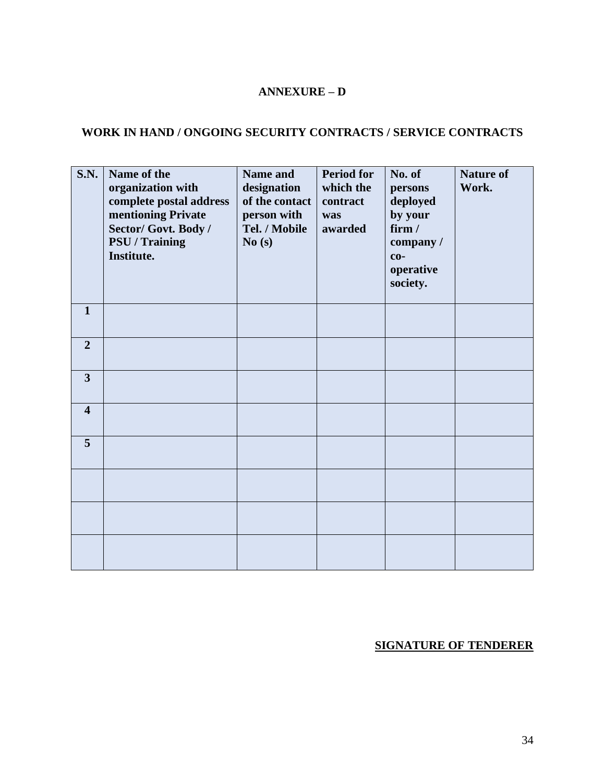#### **ANNEXURE – D**

## **WORK IN HAND / ONGOING SECURITY CONTRACTS / SERVICE CONTRACTS**

| <b>S.N.</b>             | Name of the<br>organization with<br>complete postal address<br>mentioning Private<br>Sector/ Govt. Body /<br><b>PSU</b> / Training<br>Institute. | Name and<br>designation<br>of the contact<br>person with<br>Tel. / Mobile<br>No(s) | <b>Period for</b><br>which the<br>contract<br>was<br>awarded | No. of<br>persons<br>deployed<br>by your<br>firm/<br>company /<br>$\mathbf{c}\mathbf{o}$ -<br>operative<br>society. | <b>Nature of</b><br>Work. |
|-------------------------|--------------------------------------------------------------------------------------------------------------------------------------------------|------------------------------------------------------------------------------------|--------------------------------------------------------------|---------------------------------------------------------------------------------------------------------------------|---------------------------|
| $\mathbf{1}$            |                                                                                                                                                  |                                                                                    |                                                              |                                                                                                                     |                           |
| $\overline{2}$          |                                                                                                                                                  |                                                                                    |                                                              |                                                                                                                     |                           |
| $\overline{3}$          |                                                                                                                                                  |                                                                                    |                                                              |                                                                                                                     |                           |
| $\overline{\mathbf{4}}$ |                                                                                                                                                  |                                                                                    |                                                              |                                                                                                                     |                           |
| 5                       |                                                                                                                                                  |                                                                                    |                                                              |                                                                                                                     |                           |
|                         |                                                                                                                                                  |                                                                                    |                                                              |                                                                                                                     |                           |
|                         |                                                                                                                                                  |                                                                                    |                                                              |                                                                                                                     |                           |
|                         |                                                                                                                                                  |                                                                                    |                                                              |                                                                                                                     |                           |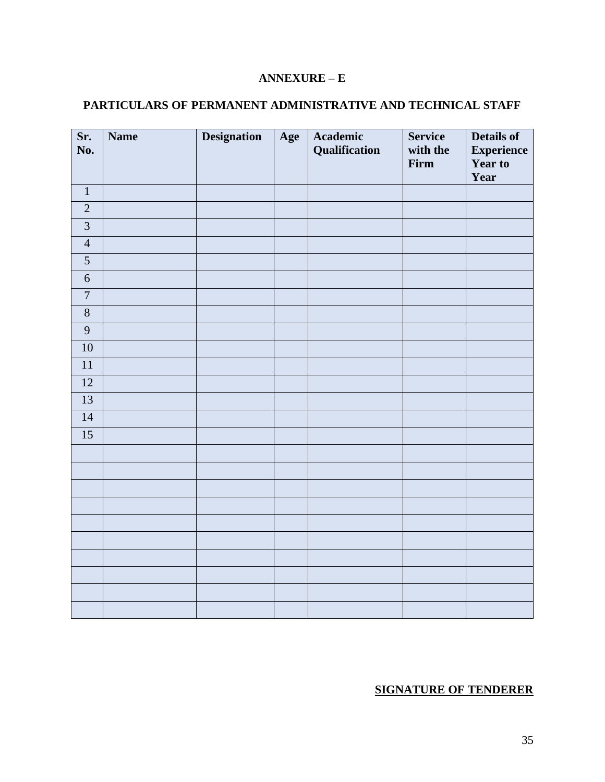## **ANNEXURE – E**

## **PARTICULARS OF PERMANENT ADMINISTRATIVE AND TECHNICAL STAFF**

| Sr.<br>No.              | <b>Name</b> | <b>Designation</b> | Age | Academic<br>Qualification | <b>Service</b><br>with the<br>Firm | <b>Details of</b><br><b>Experience</b><br>Year to<br>Year |
|-------------------------|-------------|--------------------|-----|---------------------------|------------------------------------|-----------------------------------------------------------|
| $1\,$                   |             |                    |     |                           |                                    |                                                           |
| $\sqrt{2}$              |             |                    |     |                           |                                    |                                                           |
| $\overline{\mathbf{3}}$ |             |                    |     |                           |                                    |                                                           |
| $\overline{4}$          |             |                    |     |                           |                                    |                                                           |
| $\overline{5}$          |             |                    |     |                           |                                    |                                                           |
| $\sqrt{6}$              |             |                    |     |                           |                                    |                                                           |
| $\boldsymbol{7}$        |             |                    |     |                           |                                    |                                                           |
| $\,8\,$                 |             |                    |     |                           |                                    |                                                           |
| $\overline{9}$          |             |                    |     |                           |                                    |                                                           |
| $10\,$                  |             |                    |     |                           |                                    |                                                           |
| $11\,$                  |             |                    |     |                           |                                    |                                                           |
| $\overline{12}$         |             |                    |     |                           |                                    |                                                           |
| $\overline{13}$         |             |                    |     |                           |                                    |                                                           |
| $14$                    |             |                    |     |                           |                                    |                                                           |
| 15                      |             |                    |     |                           |                                    |                                                           |
|                         |             |                    |     |                           |                                    |                                                           |
|                         |             |                    |     |                           |                                    |                                                           |
|                         |             |                    |     |                           |                                    |                                                           |
|                         |             |                    |     |                           |                                    |                                                           |
|                         |             |                    |     |                           |                                    |                                                           |
|                         |             |                    |     |                           |                                    |                                                           |
|                         |             |                    |     |                           |                                    |                                                           |
|                         |             |                    |     |                           |                                    |                                                           |
|                         |             |                    |     |                           |                                    |                                                           |
|                         |             |                    |     |                           |                                    |                                                           |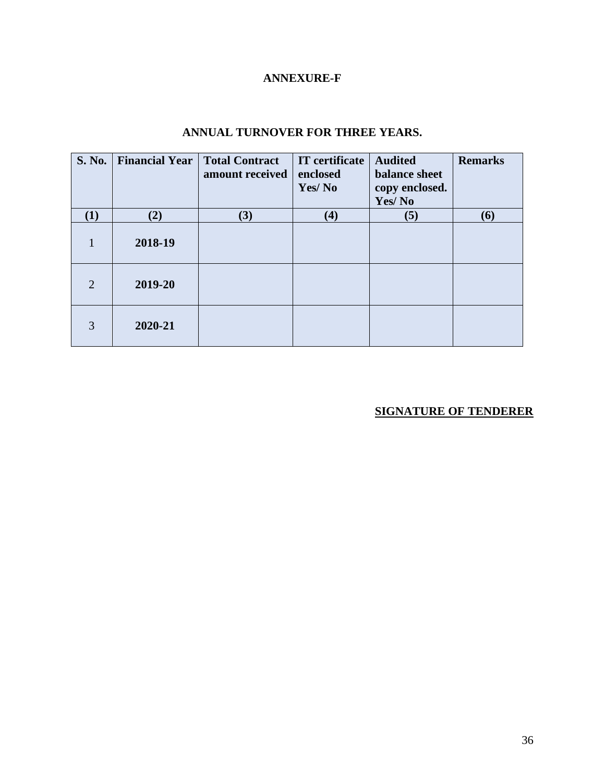## **ANNEXURE-F**

| <b>S. No.</b>  | <b>Financial Year</b> | <b>Total Contract</b><br>amount received | <b>IT</b> certificate<br>enclosed<br>Yes/No | <b>Audited</b><br>balance sheet<br>copy enclosed.<br>Yes/No | <b>Remarks</b> |
|----------------|-----------------------|------------------------------------------|---------------------------------------------|-------------------------------------------------------------|----------------|
| (1)            | (2)                   | (3)                                      | (4)                                         | (5)                                                         | <b>(6)</b>     |
| 1              | 2018-19               |                                          |                                             |                                                             |                |
| $\overline{2}$ | 2019-20               |                                          |                                             |                                                             |                |
| 3              | 2020-21               |                                          |                                             |                                                             |                |

## **ANNUAL TURNOVER FOR THREE YEARS.**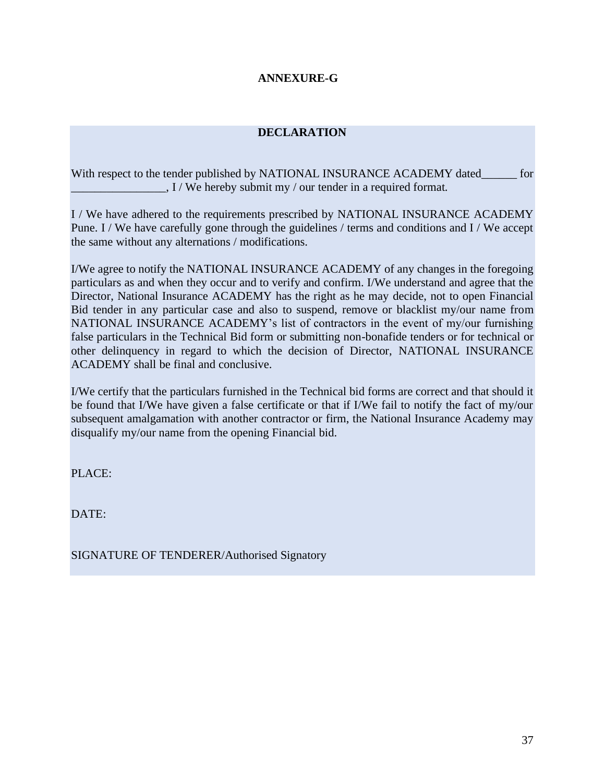#### **ANNEXURE-G**

#### **DECLARATION**

With respect to the tender published by NATIONAL INSURANCE ACADEMY dated\_\_\_\_\_\_ for  $\Box$  I / We hereby submit my / our tender in a required format.

I / We have adhered to the requirements prescribed by NATIONAL INSURANCE ACADEMY Pune. I / We have carefully gone through the guidelines / terms and conditions and I / We accept the same without any alternations / modifications.

I/We agree to notify the NATIONAL INSURANCE ACADEMY of any changes in the foregoing particulars as and when they occur and to verify and confirm. I/We understand and agree that the Director, National Insurance ACADEMY has the right as he may decide, not to open Financial Bid tender in any particular case and also to suspend, remove or blacklist my/our name from NATIONAL INSURANCE ACADEMY's list of contractors in the event of my/our furnishing false particulars in the Technical Bid form or submitting non-bonafide tenders or for technical or other delinquency in regard to which the decision of Director, NATIONAL INSURANCE ACADEMY shall be final and conclusive.

I/We certify that the particulars furnished in the Technical bid forms are correct and that should it be found that I/We have given a false certificate or that if I/We fail to notify the fact of my/our subsequent amalgamation with another contractor or firm, the National Insurance Academy may disqualify my/our name from the opening Financial bid.

PLACE:

DATE:

SIGNATURE OF TENDERER/Authorised Signatory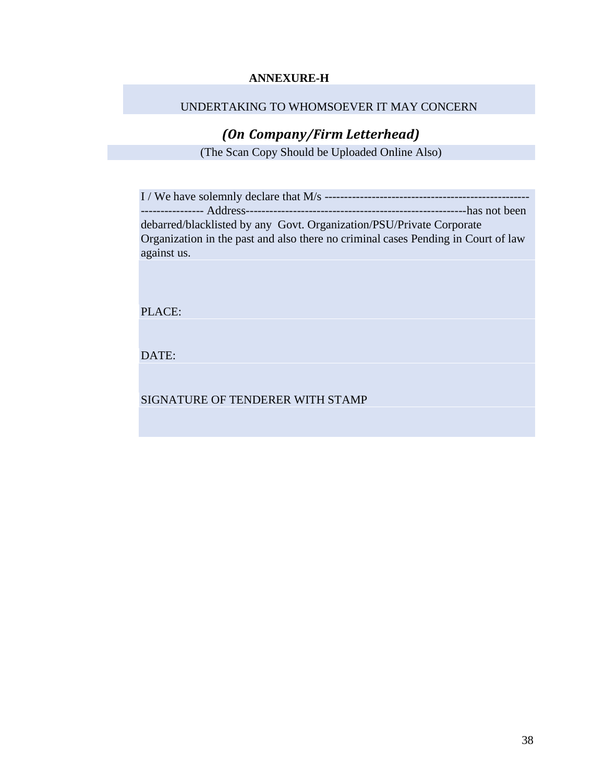#### **ANNEXURE-H**

#### UNDERTAKING TO WHOMSOEVER IT MAY CONCERN

## *(On Company/Firm Letterhead)*

(The Scan Copy Should be Uploaded Online Also)

I / We have solemnly declare that M/s ---------------------------------------------------- ---------------- Address--------------------------------------------------------has not been debarred/blacklisted by any Govt. Organization/PSU/Private Corporate Organization in the past and also there no criminal cases Pending in Court of law against us.

PLACE:

DATE:

SIGNATURE OF TENDERER WITH STAMP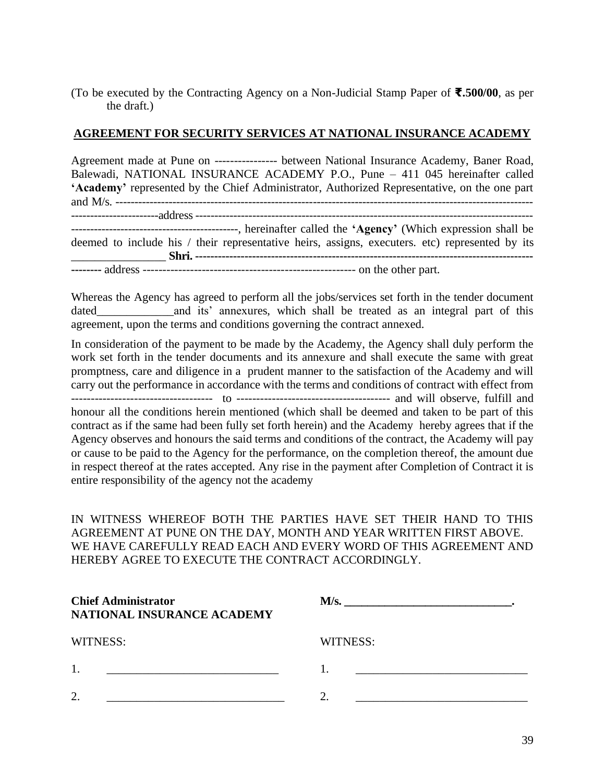#### (To be executed by the Contracting Agency on a Non-Judicial Stamp Paper of **₹.500/00**, as per the draft.)

#### **AGREEMENT FOR SECURITY SERVICES AT NATIONAL INSURANCE ACADEMY**

Agreement made at Pune on ---------------- between National Insurance Academy, Baner Road, Balewadi, NATIONAL INSURANCE ACADEMY P.O., Pune – 411 045 hereinafter called **'Academy'** represented by the Chief Administrator, Authorized Representative, on the one part and M/s. -------------------------------------------------------------------------------------------------------------- -----------------------address ----------------------------------------------------------------------------------------- --------------------------------------------, hereinafter called the **'Agency'** (Which expression shall be deemed to include his / their representative heirs, assigns, executers. etc) represented by its \_\_\_\_\_\_\_\_\_\_\_\_\_\_\_\_ **Shri. ----------------------------------------------------------------------------------------- --------** address ------------------------------------------------------ on the other part.

Whereas the Agency has agreed to perform all the jobs/services set forth in the tender document dated and its' annexures, which shall be treated as an integral part of this agreement, upon the terms and conditions governing the contract annexed.

In consideration of the payment to be made by the Academy, the Agency shall duly perform the work set forth in the tender documents and its annexure and shall execute the same with great promptness, care and diligence in a prudent manner to the satisfaction of the Academy and will carry out the performance in accordance with the terms and conditions of contract with effect from ------------------------------------ to --------------------------------------- and will observe, fulfill and honour all the conditions herein mentioned (which shall be deemed and taken to be part of this contract as if the same had been fully set forth herein) and the Academy hereby agrees that if the Agency observes and honours the said terms and conditions of the contract, the Academy will pay or cause to be paid to the Agency for the performance, on the completion thereof, the amount due in respect thereof at the rates accepted. Any rise in the payment after Completion of Contract it is entire responsibility of the agency not the academy

IN WITNESS WHEREOF BOTH THE PARTIES HAVE SET THEIR HAND TO THIS AGREEMENT AT PUNE ON THE DAY, MONTH AND YEAR WRITTEN FIRST ABOVE. WE HAVE CAREFULLY READ EACH AND EVERY WORD OF THIS AGREEMENT AND HEREBY AGREE TO EXECUTE THE CONTRACT ACCORDINGLY.

| <b>Chief Administrator</b><br>NATIONAL INSURANCE ACADEMY | M/s.     |
|----------------------------------------------------------|----------|
| WITNESS:                                                 | WITNESS: |
| 1.<br><u> 1990 - Johann Harry Communication (</u> 1990)  |          |
| $\overline{2}$                                           |          |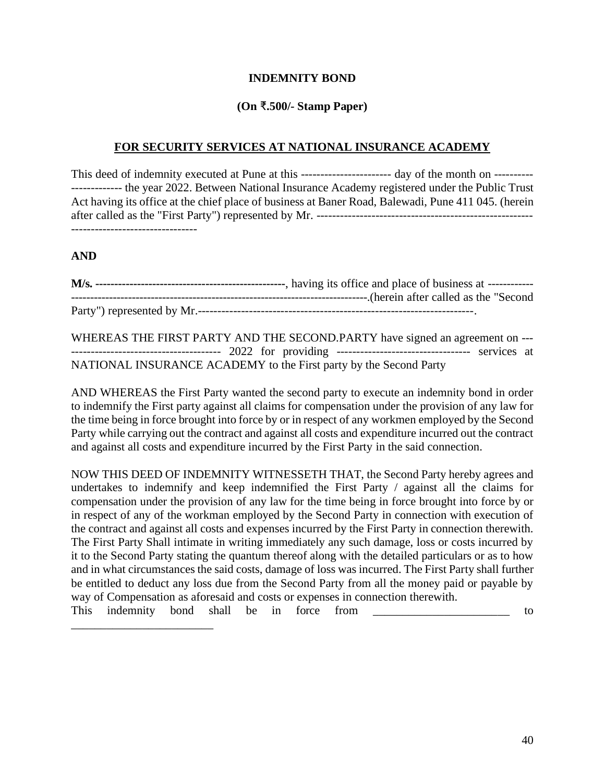#### **INDEMNITY BOND**

#### **(On** ₹**.500/- Stamp Paper)**

#### **FOR SECURITY SERVICES AT NATIONAL INSURANCE ACADEMY**

This deed of indemnity executed at Pune at this -------------------------------- day of the month on ----------------------- the year 2022. Between National Insurance Academy registered under the Public Trust Act having its office at the chief place of business at Baner Road, Balewadi, Pune 411 045. (herein after called as the "First Party") represented by Mr. ------------------------------------------------------- --------------------------------

#### **AND**

WHEREAS THE FIRST PARTY AND THE SECOND.PARTY have signed an agreement on --- -------------------------------------- 2022 for providing ---------------------------------- services at NATIONAL INSURANCE ACADEMY to the First party by the Second Party

AND WHEREAS the First Party wanted the second party to execute an indemnity bond in order to indemnify the First party against all claims for compensation under the provision of any law for the time being in force brought into force by or in respect of any workmen employed by the Second Party while carrying out the contract and against all costs and expenditure incurred out the contract and against all costs and expenditure incurred by the First Party in the said connection.

NOW THIS DEED OF INDEMNITY WITNESSETH THAT, the Second Party hereby agrees and undertakes to indemnify and keep indemnified the First Party / against all the claims for compensation under the provision of any law for the time being in force brought into force by or in respect of any of the workman employed by the Second Party in connection with execution of the contract and against all costs and expenses incurred by the First Party in connection therewith. The First Party Shall intimate in writing immediately any such damage, loss or costs incurred by it to the Second Party stating the quantum thereof along with the detailed particulars or as to how and in what circumstances the said costs, damage of loss was incurred. The First Party shall further be entitled to deduct any loss due from the Second Party from all the money paid or payable by way of Compensation as aforesaid and costs or expenses in connection therewith.

This indemnity bond shall be in force from \_\_\_\_\_\_\_\_\_\_\_\_\_\_\_\_\_\_\_\_\_\_\_\_\_\_\_\_\_ to \_\_\_\_\_\_\_\_\_\_\_\_\_\_\_\_\_\_\_\_\_\_\_\_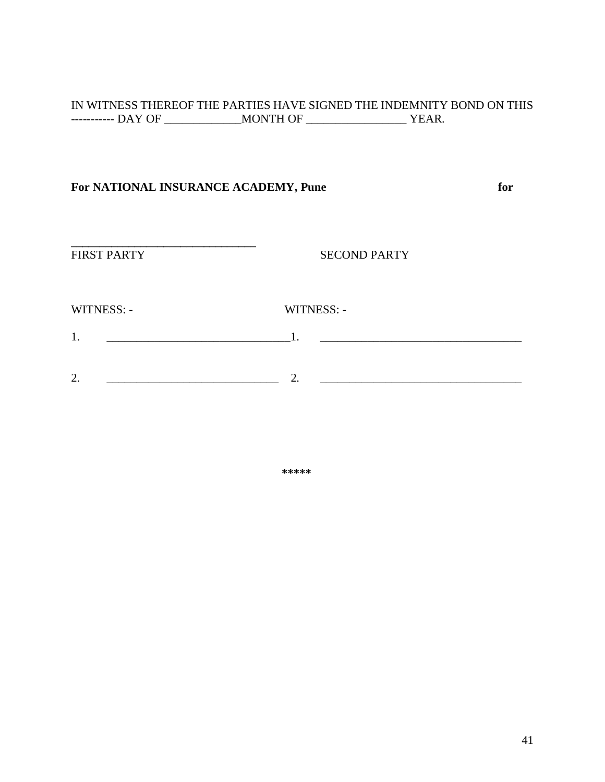#### IN WITNESS THEREOF THE PARTIES HAVE SIGNED THE INDEMNITY BOND ON THIS ----------- DAY OF \_\_\_\_\_\_\_\_\_\_\_\_\_MONTH OF \_\_\_\_\_\_\_\_\_\_\_\_\_\_\_\_\_ YEAR.

## **For NATIONAL INSURANCE ACADEMY, Pune for**

**FIRST PARTY** 

**SECOND PARTY** 

WITNESS: - WITNESS: -

- 1. \_\_\_\_\_\_\_\_\_\_\_\_\_\_\_\_\_\_\_\_\_\_\_\_\_\_\_\_\_\_\_1. \_\_\_\_\_\_\_\_\_\_\_\_\_\_\_\_\_\_\_\_\_\_\_\_\_\_\_\_\_\_\_\_\_\_
- 2. \_\_\_\_\_\_\_\_\_\_\_\_\_\_\_\_\_\_\_\_\_\_\_\_\_\_\_\_\_ 2. \_\_\_\_\_\_\_\_\_\_\_\_\_\_\_\_\_\_\_\_\_\_\_\_\_\_\_\_\_\_\_\_\_\_

**\*\*\*\*\***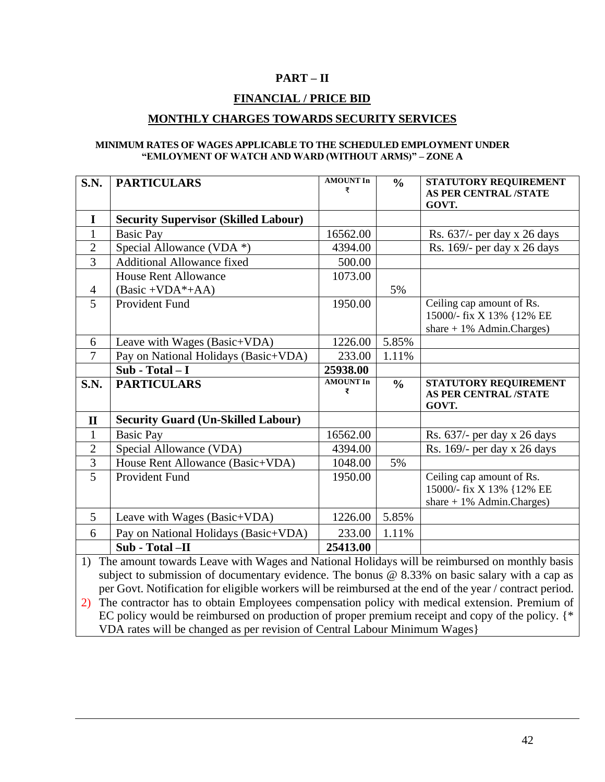#### **PART – II**

#### **FINANCIAL / PRICE BID**

#### **MONTHLY CHARGES TOWARDS SECURITY SERVICES**

#### **MINIMUM RATES OF WAGES APPLICABLE TO THE SCHEDULED EMPLOYMENT UNDER "EMLOYMENT OF WATCH AND WARD (WITHOUT ARMS)" – ZONE A**

| <b>S.N.</b>                                                                                                                                                                                                                                                                                                         | <b>PARTICULARS</b>                          | <b>AMOUNT In</b><br>₹ | $\frac{0}{0}$ | STATUTORY REQUIREMENT<br><b>AS PER CENTRAL /STATE</b>                                  |  |
|---------------------------------------------------------------------------------------------------------------------------------------------------------------------------------------------------------------------------------------------------------------------------------------------------------------------|---------------------------------------------|-----------------------|---------------|----------------------------------------------------------------------------------------|--|
|                                                                                                                                                                                                                                                                                                                     |                                             |                       |               | GOVT.                                                                                  |  |
| $\mathbf I$                                                                                                                                                                                                                                                                                                         | <b>Security Supervisor (Skilled Labour)</b> |                       |               |                                                                                        |  |
| $\mathbf{1}$                                                                                                                                                                                                                                                                                                        | <b>Basic Pay</b>                            | 16562.00              |               | Rs. 637/- per day x 26 days                                                            |  |
| $\overline{2}$                                                                                                                                                                                                                                                                                                      | Special Allowance (VDA *)                   | 4394.00               |               | Rs. 169/- per day x 26 days                                                            |  |
| $\overline{3}$                                                                                                                                                                                                                                                                                                      | <b>Additional Allowance fixed</b>           | 500.00                |               |                                                                                        |  |
|                                                                                                                                                                                                                                                                                                                     | <b>House Rent Allowance</b>                 | 1073.00               |               |                                                                                        |  |
| $\overline{4}$                                                                                                                                                                                                                                                                                                      | $(Basic + VDA*+AA)$                         |                       | 5%            |                                                                                        |  |
| 5                                                                                                                                                                                                                                                                                                                   | <b>Provident Fund</b>                       | 1950.00               |               | Ceiling cap amount of Rs.<br>15000/- fix X 13% {12% EE<br>share $+1\%$ Admin. Charges) |  |
| 6                                                                                                                                                                                                                                                                                                                   | Leave with Wages (Basic+VDA)                | 1226.00               | 5.85%         |                                                                                        |  |
| $\tau$                                                                                                                                                                                                                                                                                                              | Pay on National Holidays (Basic+VDA)        | 233.00                | 1.11%         |                                                                                        |  |
|                                                                                                                                                                                                                                                                                                                     | $Sub - Total - I$                           | 25938.00              |               |                                                                                        |  |
| <b>S.N.</b>                                                                                                                                                                                                                                                                                                         | <b>PARTICULARS</b>                          | <b>AMOUNT In</b><br>₹ | $\frac{0}{0}$ | STATUTORY REQUIREMENT<br><b>AS PER CENTRAL /STATE</b><br>GOVT.                         |  |
| $\mathbf{I}$                                                                                                                                                                                                                                                                                                        | <b>Security Guard (Un-Skilled Labour)</b>   |                       |               |                                                                                        |  |
| $\mathbf{1}$                                                                                                                                                                                                                                                                                                        | <b>Basic Pay</b>                            | 16562.00              |               | Rs. $637/-$ per day x 26 days                                                          |  |
| $\overline{2}$                                                                                                                                                                                                                                                                                                      | Special Allowance (VDA)                     | 4394.00               |               | Rs. 169/- per day x 26 days                                                            |  |
| $\overline{3}$                                                                                                                                                                                                                                                                                                      | House Rent Allowance (Basic+VDA)            | 1048.00               | 5%            |                                                                                        |  |
| 5                                                                                                                                                                                                                                                                                                                   | Provident Fund                              | 1950.00               |               | Ceiling cap amount of Rs.<br>15000/- fix X 13% {12% EE<br>share $+1\%$ Admin. Charges) |  |
| $5\overline{)}$                                                                                                                                                                                                                                                                                                     | Leave with Wages (Basic+VDA)                | 1226.00               | 5.85%         |                                                                                        |  |
| 6                                                                                                                                                                                                                                                                                                                   | Pay on National Holidays (Basic+VDA)        | 233.00                | 1.11%         |                                                                                        |  |
|                                                                                                                                                                                                                                                                                                                     | Sub - Total -II                             | 25413.00              |               |                                                                                        |  |
| The amount towards Leave with Wages and National Holidays will be reimbursed on monthly basis<br>1)<br>subject to submission of documentary evidence. The bonus $@$ 8.33% on basic salary with a cap as<br>per Govt. Notification for eligible workers will be reimbursed at the end of the year / contract period. |                                             |                       |               |                                                                                        |  |

2) The contractor has to obtain Employees compensation policy with medical extension. Premium of EC policy would be reimbursed on production of proper premium receipt and copy of the policy. {\* VDA rates will be changed as per revision of Central Labour Minimum Wages}